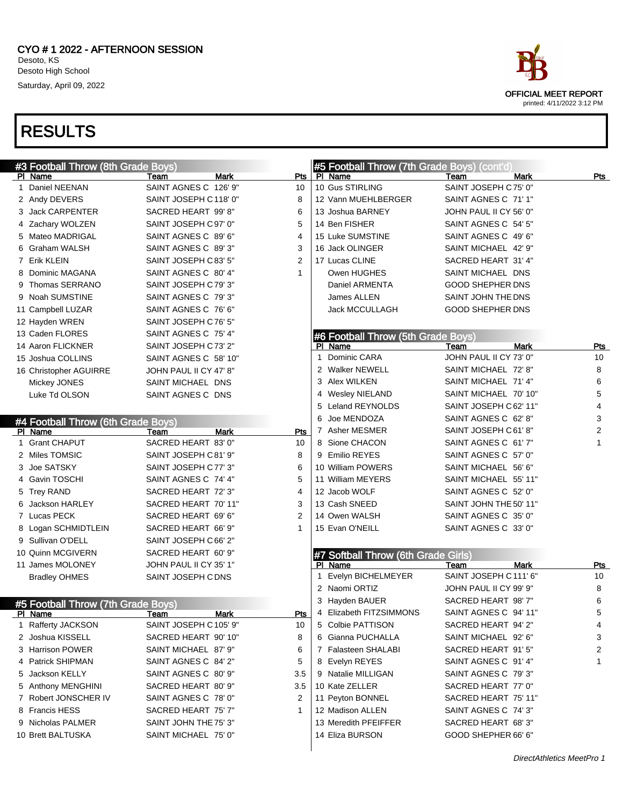#3 Football Throw (8th Grade Boys)

PI Name **Team** Mark Pts

#### RESULTS



| 2 Andy DEVERS                      | SAINT JOSEPH C118' 0"  | 8              | 12 Vann MUEHLBERGER                 | SAINT AGNES C 71' 1"    |                |
|------------------------------------|------------------------|----------------|-------------------------------------|-------------------------|----------------|
| 3 Jack CARPENTER                   | SACRED HEART 99'8"     | 6              | 13 Joshua BARNEY                    | JOHN PAUL II CY 56' 0"  |                |
| 4 Zachary WOLZEN                   | SAINT JOSEPH C97' 0"   | 5              | 14 Ben FISHER                       | SAINT AGNES C 54' 5"    |                |
| 5 Mateo MADRIGAL                   | SAINT AGNES C 89' 6"   | 4              | 15 Luke SUMSTINE                    | SAINT AGNES C 49' 6"    |                |
| 6 Graham WALSH                     | SAINT AGNES C 89'3"    | 3              | 16 Jack OLINGER                     | SAINT MICHAEL 42' 9"    |                |
| 7 Erik KLEIN                       | SAINT JOSEPH C83' 5"   | $\overline{2}$ | 17 Lucas CLINE                      | SACRED HEART 31' 4"     |                |
| 8 Dominic MAGANA                   | SAINT AGNES C 80' 4"   | $\mathbf{1}$   | Owen HUGHES                         | SAINT MICHAEL DNS       |                |
| 9 Thomas SERRANO                   | SAINT JOSEPH C79'3"    |                | Daniel ARMENTA                      | <b>GOOD SHEPHER DNS</b> |                |
| 9 Noah SUMSTINE                    | SAINT AGNES C 79'3"    |                | James ALLEN                         | SAINT JOHN THE DNS      |                |
| 11 Campbell LUZAR                  | SAINT AGNES C 76' 6"   |                | <b>Jack MCCULLAGH</b>               | <b>GOOD SHEPHER DNS</b> |                |
| 12 Hayden WREN                     | SAINT JOSEPH C76' 5"   |                |                                     |                         |                |
| 13 Caden FLORES                    | SAINT AGNES C 75' 4"   |                | #6 Football Throw (5th Grade Boys)  |                         |                |
| 14 Aaron FLICKNER                  | SAINT JOSEPH C73' 2"   |                | PI Name                             | Team<br><b>Mark</b>     | Pts            |
| 15 Joshua COLLINS                  | SAINT AGNES C 58' 10"  |                | 1 Dominic CARA                      | JOHN PAUL II CY 73' 0"  | 10             |
| 16 Christopher AGUIRRE             | JOHN PAUL II CY 47' 8" |                | 2 Walker NEWELL                     | SAINT MICHAEL 72' 8"    | 8              |
| Mickey JONES                       | SAINT MICHAEL DNS      |                | 3 Alex WILKEN                       | SAINT MICHAEL 71' 4"    | 6              |
| Luke Td OLSON                      | SAINT AGNES C DNS      |                | 4 Wesley NIELAND                    | SAINT MICHAEL 70' 10"   | 5              |
|                                    |                        |                | 5 Leland REYNOLDS                   | SAINT JOSEPH C 62' 11"  | 4              |
| #4 Football Throw (6th Grade Boys) |                        |                | 6 Joe MENDOZA                       | SAINT AGNES C 62' 8"    | 3              |
| PI Name                            | Team<br>Mark           | Pts            | 7 Asher MESMER                      | SAINT JOSEPH C 61' 8"   | 2              |
| 1 Grant CHAPUT                     | SACRED HEART 83' 0"    | 10             | 8 Sione CHACON                      | SAINT AGNES C 61' 7"    | 1              |
| 2 Miles TOMSIC                     | SAINT JOSEPH C81' 9"   | 8              | 9 Emilio REYES                      | SAINT AGNES C 57' 0"    |                |
| 3 Joe SATSKY                       | SAINT JOSEPH C77' 3"   | 6              | 10 William POWERS                   | SAINT MICHAEL 56' 6"    |                |
| 4 Gavin TOSCHI                     | SAINT AGNES C 74' 4"   | 5              | 11 William MEYERS                   | SAINT MICHAEL 55' 11"   |                |
| 5 Trey RAND                        | SACRED HEART 72' 3"    | 4              | 12 Jacob WOLF                       | SAINT AGNES C 52' 0"    |                |
| 6 Jackson HARLEY                   | SACRED HEART 70' 11"   | 3              | 13 Cash SNEED                       | SAINT JOHN THE 50' 11"  |                |
| 7 Lucas PECK                       | SACRED HEART 69' 6"    | 2              | 14 Owen WALSH                       | SAINT AGNES C 35' 0"    |                |
| 8 Logan SCHMIDTLEIN                | SACRED HEART 66' 9"    | 1              | 15 Evan O'NEILL                     | SAINT AGNES C 33' 0"    |                |
| 9 Sullivan O'DELL                  | SAINT JOSEPH C66' 2"   |                |                                     |                         |                |
| 10 Quinn MCGIVERN                  | SACRED HEART 60' 9"    |                | #7 Softball Throw (6th Grade Girls) |                         |                |
| 11 James MOLONEY                   | JOHN PAUL II CY 35' 1" |                | PI Name                             | Mark<br>Team            | Pts            |
| <b>Bradley OHMES</b>               | SAINT JOSEPH CDNS      |                | 1 Evelyn BICHELMEYER                | SAINT JOSEPH C111' 6"   | 10             |
|                                    |                        |                | 2 Naomi ORTIZ                       | JOHN PAUL II CY 99' 9"  | 8              |
| #5 Football Throw (7th Grade Boys) |                        |                | 3 Hayden BAUER                      | SACRED HEART 98'7"      | 6              |
| PI Name                            | Mark<br>Team           | Pts            | 4 Elizabeth FITZSIMMONS             | SAINT AGNES C 94' 11"   | 5              |
| 1 Rafferty JACKSON                 | SAINT JOSEPH C105' 9"  | 10             | 5 Colbie PATTISON                   | SACRED HEART 94' 2"     | 4              |
| 2 Joshua KISSELL                   | SACRED HEART 90' 10"   | 8              | 6 Gianna PUCHALLA                   | SAINT MICHAEL 92' 6"    | 3              |
| 3 Harrison POWER                   | SAINT MICHAEL 87' 9"   | 6              | 7 Falasteen SHALABI                 | SACRED HEART 91' 5"     | $\overline{2}$ |
| 4 Patrick SHIPMAN                  | SAINT AGNES C 84' 2"   | 5              | 8 Evelyn REYES                      | SAINT AGNES C 91' 4"    | 1              |
| 5 Jackson KELLY                    | SAINT AGNES C 80' 9"   | 3.5            | 9 Natalie MILLIGAN                  | SAINT AGNES C 79' 3"    |                |
| 5 Anthony MENGHINI                 | SACRED HEART 80' 9"    | 3.5            | 10 Kate ZELLER                      | SACRED HEART 77' 0"     |                |
| 7 Robert JONSCHER IV               | SAINT AGNES C 78' 0"   | 2              | 11 Peyton BONNEL                    | SACRED HEART 75' 11"    |                |
| 8 Francis HESS                     | SACRED HEART 75' 7"    | 1              | 12 Madison ALLEN                    | SAINT AGNES C 74' 3"    |                |
| 9 Nicholas PALMER                  | SAINT JOHN THE 75' 3"  |                | 13 Meredith PFEIFFER                | SACRED HEART 68'3"      |                |
| 10 Brett BALTUSKA                  | SAINT MICHAEL 75' 0"   |                | 14 Eliza BURSON                     | GOOD SHEPHER 66' 6"     |                |

 $\overline{ }$ 

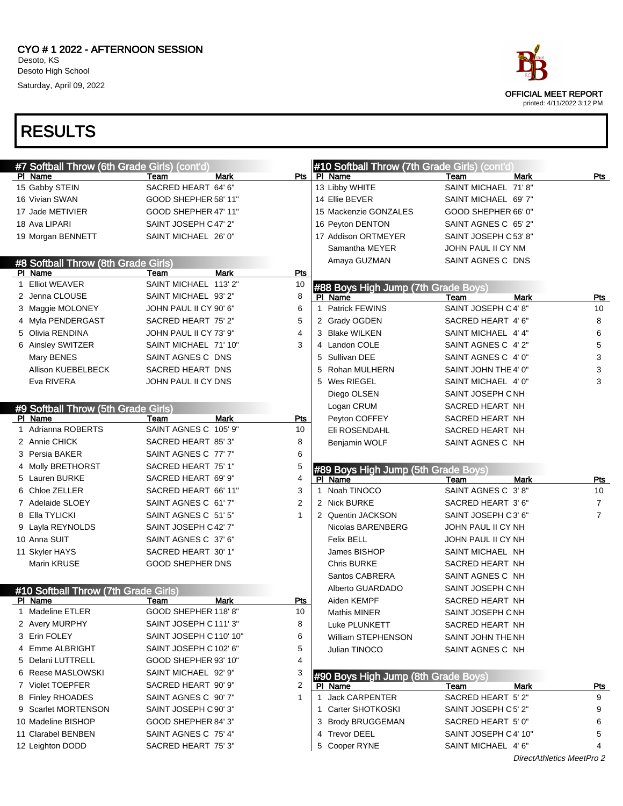

| #7 Softball Throw (6th Grade Girls) (cont'd) |                         |                | #10 Softball Throw (7th Grade Girls) (cont'd)  |                       |                |
|----------------------------------------------|-------------------------|----------------|------------------------------------------------|-----------------------|----------------|
| PI Name                                      | Mark<br>Team            | Pts I          | PI Name                                        | <b>Mark</b><br>Team   | Pts            |
| 15 Gabby STEIN                               | SACRED HEART 64' 6"     |                | 13 Libby WHITE                                 | SAINT MICHAEL 71'8"   |                |
| 16 Vivian SWAN                               | GOOD SHEPHER 58' 11"    |                | 14 Ellie BEVER                                 | SAINT MICHAEL 69' 7"  |                |
| 17 Jade METIVIER                             | GOOD SHEPHER 47' 11"    |                | 15 Mackenzie GONZALES                          | GOOD SHEPHER 66' 0"   |                |
| 18 Ava LIPARI                                | SAINT JOSEPH C47' 2"    |                | 16 Peyton DENTON                               | SAINT AGNES C 65' 2"  |                |
| 19 Morgan BENNETT                            | SAINT MICHAEL 26' 0"    |                | 17 Addison ORTMEYER                            | SAINT JOSEPH C 53' 8" |                |
|                                              |                         |                | Samantha MEYER                                 | JOHN PAUL II CY NM    |                |
| #8 Softball Throw (8th Grade Girls)          |                         |                | Amaya GUZMAN                                   | SAINT AGNES C DNS     |                |
| PI Name                                      | Team<br><b>Mark</b>     | Pts            |                                                |                       |                |
| 1 Elliot WEAVER                              | SAINT MICHAEL 113' 2"   | 10             | #88 Boys High Jump (7th Grade Boys)            |                       |                |
| 2 Jenna CLOUSE                               | SAINT MICHAEL 93' 2"    | 8              | PI Name                                        | <b>Mark</b><br>Team   | Pts            |
| 3 Maggie MOLONEY                             | JOHN PAUL II CY 90' 6"  | 6              | <b>Patrick FEWINS</b><br>$\mathbf{1}$          | SAINT JOSEPH C 4' 8"  | 10             |
| 4 Myla PENDERGAST                            | SACRED HEART 75' 2"     | 5              | 2 Grady OGDEN                                  | SACRED HEART 4' 6"    | 8              |
| 5 Olivia RENDINA                             | JOHN PAUL II CY 73' 9"  | 4              | 3 Blake WILKEN                                 | SAINT MICHAEL 4' 4"   | 6              |
| 6 Ainsley SWITZER                            | SAINT MICHAEL 71' 10"   | 3              | 4 Landon COLE                                  | SAINT AGNES C 4' 2"   | 5              |
| Mary BENES                                   | SAINT AGNES C DNS       |                | Sullivan DEE<br>5                              | SAINT AGNES C 4' 0"   | 3              |
| Allison KUEBELBECK                           | SACRED HEART DNS        |                | Rohan MULHERN<br>5                             | SAINT JOHN THE 4' 0"  | 3              |
| Eva RIVERA                                   | JOHN PAUL II CY DNS     |                | 5 Wes RIEGEL                                   | SAINT MICHAEL 4' 0"   | 3              |
|                                              |                         |                | Diego OLSEN                                    | SAINT JOSEPH CNH      |                |
| #9 Softball Throw (5th Grade Girls)          |                         |                | Logan CRUM                                     | SACRED HEART NH       |                |
| PI Name                                      | <b>Mark</b><br>Team     | Pts            | Peyton COFFEY                                  | SACRED HEART NH       |                |
| 1 Adrianna ROBERTS                           | SAINT AGNES C 105' 9"   | 10             | Eli ROSENDAHL                                  | SACRED HEART NH       |                |
| 2 Annie CHICK                                | SACRED HEART 85' 3"     | 8              | Benjamin WOLF                                  | SAINT AGNES C NH      |                |
| 3 Persia BAKER                               | SAINT AGNES C 77' 7"    | 6              |                                                |                       |                |
|                                              |                         |                |                                                |                       |                |
| 4 Molly BRETHORST                            | SACRED HEART 75' 1"     | 5              |                                                |                       |                |
| 5 Lauren BURKE                               | SACRED HEART 69' 9"     | 4              | #89 Boys High Jump (5th Grade Boys)<br>PI Name | <b>Mark</b><br>Team   | <u>Pts</u>     |
| 6 Chloe ZELLER                               | SACRED HEART 66' 11"    | 3              | Noah TINOCO<br>1                               | SAINT AGNES C 3'8"    | 10             |
| 7 Adelaide SLOEY                             | SAINT AGNES C 61' 7"    | $\overline{2}$ | 2 Nick BURKE                                   | SACRED HEART 3' 6"    | $\overline{7}$ |
| 8 Ella TYLICKI                               | SAINT AGNES C 51' 5"    | 1              | 2 Quentin JACKSON                              | SAINT JOSEPH C3' 6"   | $\overline{7}$ |
| 9 Layla REYNOLDS                             | SAINT JOSEPH C42' 7"    |                | Nicolas BARENBERG                              | JOHN PAUL II CY NH    |                |
| 10 Anna SUIT                                 | SAINT AGNES C 37' 6"    |                | <b>Felix BELL</b>                              | JOHN PAUL II CY NH    |                |
| 11 Skyler HAYS                               | SACRED HEART 30' 1"     |                | James BISHOP                                   | SAINT MICHAEL NH      |                |
| Marin KRUSE                                  | <b>GOOD SHEPHER DNS</b> |                | <b>Chris BURKE</b>                             | SACRED HEART NH       |                |
|                                              |                         |                | Santos CABRERA                                 | SAINT AGNES C NH      |                |
| #10 Softball Throw (7th Grade Girls)         |                         |                | Alberto GUARDADO                               | SAINT JOSEPH CNH      |                |
| PI Name                                      | <b>Mark</b><br>Team     | <b>Pts</b>     | Aiden KEMPF                                    | SACRED HEART NH       |                |
| 1 Madeline ETLER                             | GOOD SHEPHER 118' 8"    | 10             | Mathis MINER                                   | SAINT JOSEPH C NH     |                |
| 2 Avery MURPHY                               | SAINT JOSEPH C 111' 3"  | 8              | Luke PLUNKETT                                  | SACRED HEART NH       |                |
| 3 Erin FOLEY                                 | SAINT JOSEPH C110' 10"  | 6              | William STEPHENSON                             | SAINT JOHN THE NH     |                |
| 4 Emme ALBRIGHT                              | SAINT JOSEPH C 102' 6"  | 5              | Julian TINOCO                                  | SAINT AGNES C NH      |                |
| 5 Delani LUTTRELL                            | GOOD SHEPHER 93' 10"    | 4              |                                                |                       |                |
| 6 Reese MASLOWSKI                            | SAINT MICHAEL 92' 9"    | 3              |                                                |                       |                |
| 7 Violet TOEPFER                             | SACRED HEART 90' 9"     | 2              | #90 Boys High Jump (8th Grade Boys)<br>PI Name | Team<br>Mark          | <u>Pts</u>     |
| 8 Finley RHOADES                             | SAINT AGNES C 90' 7"    | 1              | 1 Jack CARPENTER                               | SACRED HEART 5' 2"    | 9              |
| 9 Scarlet MORTENSON                          | SAINT JOSEPH C 90' 3"   |                | 1 Carter SHOTKOSKI                             | SAINT JOSEPH C5' 2"   | 9              |
| 10 Madeline BISHOP                           | GOOD SHEPHER 84' 3"     |                | 3 Brody BRUGGEMAN                              | SACRED HEART 5' 0"    | 6              |
| 11 Clarabel BENBEN                           | SAINT AGNES C 75' 4"    |                | 4 Trevor DEEL                                  | SAINT JOSEPH C 4' 10" | 5              |
| 12 Leighton DODD                             | SACRED HEART 75' 3"     |                | 5 Cooper RYNE                                  | SAINT MICHAEL 4'6"    |                |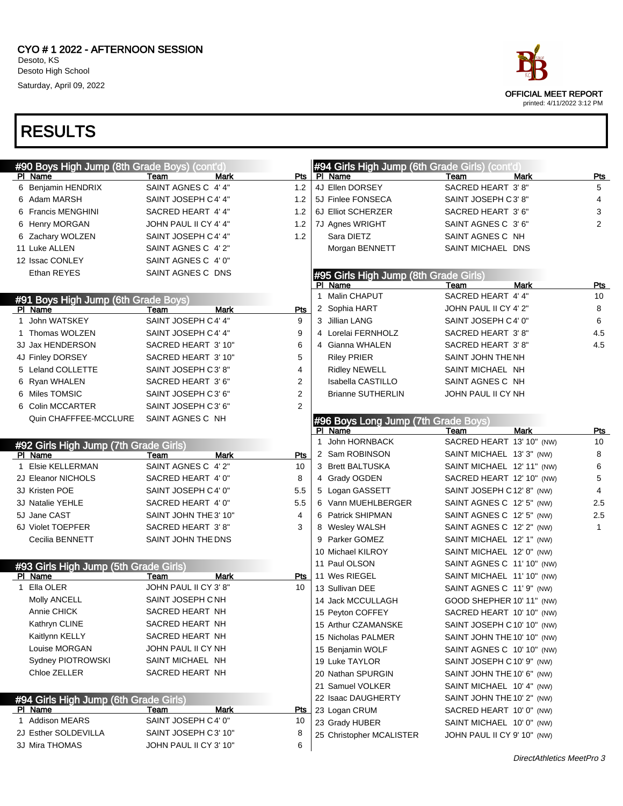

| #90 Boys High Jump (8th Grade Boys) (cont'd) |                            |                | #94 Girls High Jump (6th Grade Girls) (cont'd) |                             |                |
|----------------------------------------------|----------------------------|----------------|------------------------------------------------|-----------------------------|----------------|
| PI Name                                      | Mark<br>Team               | Pts            | PI Name                                        | Team<br><b>Mark</b>         | <u>Pts</u>     |
| 6 Benjamin HENDRIX                           | SAINT AGNES C 4' 4"        | 1.2            | 4J Ellen DORSEY                                | SACRED HEART 3'8"           | 5              |
| 6 Adam MARSH                                 | SAINT JOSEPH C4' 4"        | 1.2            | 5J Finlee FONSECA                              | SAINT JOSEPH C3'8"          | 4              |
| 6 Francis MENGHINI                           | SACRED HEART 4' 4"         | 1.2            | 6J Elliot SCHERZER                             | SACRED HEART 3' 6"          | 3              |
| 6 Henry MORGAN                               | JOHN PAUL II CY 4' 4"      | 1.2            | 7J Agnes WRIGHT                                | SAINT AGNES C 3'6"          | $\overline{2}$ |
| Zachary WOLZEN<br>6                          | SAINT JOSEPH C4' 4"        | 1.2            | Sara DIETZ                                     | SAINT AGNES C NH            |                |
| 11 Luke ALLEN                                | SAINT AGNES C 4' 2"        |                | Morgan BENNETT                                 | SAINT MICHAEL DNS           |                |
| 12 Issac CONLEY                              | SAINT AGNES C 4' 0"        |                |                                                |                             |                |
| Ethan REYES                                  | SAINT AGNES C DNS          |                | #95 Girls High Jump (8th Grade Girls)          |                             |                |
|                                              |                            |                | PI Name                                        | <b>Mark</b><br>Team         | <b>Pts</b>     |
| #91 Boys High Jump (6th Grade Boys)          |                            |                | 1 Malin CHAPUT                                 | SACRED HEART 4' 4"          | 10             |
| PI Name                                      | <b>Mark</b><br>Team        | Pts            | 2 Sophia HART                                  | JOHN PAUL II CY 4' 2"       | 8              |
| 1 John WATSKEY                               | SAINT JOSEPH C4' 4"        | 9              | 3 Jillian LANG                                 | SAINT JOSEPH C 4' 0"        | 6              |
| 1 Thomas WOLZEN                              | SAINT JOSEPH C4' 4"        | 9              | 4 Lorelai FERNHOLZ                             | SACRED HEART 3'8"           | 4.5            |
| 3J Jax HENDERSON                             | SACRED HEART 3' 10"        | 6              | 4 Gianna WHALEN                                | SACRED HEART 3'8"           | 4.5            |
| 4J Finley DORSEY                             | SACRED HEART 3' 10"        | 5              | <b>Riley PRIER</b>                             | SAINT JOHN THE NH           |                |
| 5 Leland COLLETTE                            | SAINT JOSEPH C3'8"         | 4              | <b>Ridley NEWELL</b>                           | SAINT MICHAEL NH            |                |
| 6 Ryan WHALEN                                | SACRED HEART 3' 6"         | 2              | Isabella CASTILLO                              | SAINT AGNES C NH            |                |
| 6 Miles TOMSIC                               | SAINT JOSEPH C3' 6"        | 2              | <b>Brianne SUTHERLIN</b>                       | JOHN PAUL II CY NH          |                |
| 6 Colin MCCARTER                             | SAINT JOSEPH C3' 6"        | $\overline{2}$ |                                                |                             |                |
| Quin CHAFFFEE-MCCLURE                        | SAINT AGNES C NH           |                | #96 Boys Long Jump (7th Grade Boys)            |                             |                |
|                                              |                            |                | PI Name                                        | Team<br>Mark                | Pts            |
| #92 Girls High Jump (7th Grade Girls)        |                            |                | 1 John HORNBACK                                | SACRED HEART 13' 10" (NW)   | 10             |
| PI Name                                      | Team<br>Mark               | <b>Pts</b>     | 2 Sam ROBINSON                                 | SAINT MICHAEL 13' 3" (NW)   | 8              |
| 1 Elsie KELLERMAN                            | SAINT AGNES C 4' 2"        | 10             | 3 Brett BALTUSKA                               | SAINT MICHAEL 12' 11" (NW)  | 6              |
| 2J Eleanor NICHOLS                           | SACRED HEART 4' 0"         | 8              | 4 Grady OGDEN                                  | SACRED HEART 12' 10" (NW)   | 5              |
| 3J Kristen POE                               | SAINT JOSEPH C4' 0"        | 5.5            | 5 Logan GASSETT                                | SAINT JOSEPH C 12' 8" (NW)  | 4              |
| 3J Natalie YEHLE                             | SACRED HEART 4' 0"         | 5.5            | 6 Vann MUEHLBERGER                             | SAINT AGNES C 12' 5" (NW)   | 2.5            |
| 5J Jane CAST                                 | SAINT JOHN THE 3' 10"      | 4              | 6 Patrick SHIPMAN                              | SAINT AGNES C 12' 5" (NW)   | 2.5            |
| 6J Violet TOEPFER                            | SACRED HEART 3'8"          | 3              | 8 Wesley WALSH                                 | SAINT AGNES C 12' 2" (NW)   | $\mathbf{1}$   |
| Cecilia BENNETT                              | SAINT JOHN THE DNS         |                | 9 Parker GOMEZ                                 | SAINT MICHAEL 12' 1" (NW)   |                |
|                                              |                            |                | 10 Michael KILROY                              | SAINT MICHAEL 12' 0" (NW)   |                |
| #93 Girls High Jump (5th Grade Girls)        |                            |                | 11 Paul OLSON                                  | SAINT AGNES C 11' 10" (NW)  |                |
| PI Name                                      | Mark<br>Team               | Pts            | 11 Wes RIEGEL                                  | SAINT MICHAEL 11' 10" (NW)  |                |
| 1 Ella OLER                                  | JOHN PAUL II CY 3' 8"      | 10             | 13 Sullivan DEE                                | SAINT AGNES C 11' 9" (NW)   |                |
| Molly ANCELL                                 | SAINT JOSEPH CNH           |                | 14 Jack MCCULLAGH                              | GOOD SHEPHER 10' 11" (NW)   |                |
| Annie CHICK                                  | SACRED HEART NH            |                | 15 Peyton COFFEY                               | SACRED HEART 10' 10" (NW)   |                |
| Kathryn CLINE                                | SACRED HEART NH            |                | 15 Arthur CZAMANSKE                            | SAINT JOSEPH C 10' 10" (NW) |                |
| Kaitlynn KELLY                               | SACRED HEART NH            |                | 15 Nicholas PALMER                             | SAINT JOHN THE 10' 10" (NW) |                |
| Louise MORGAN                                | JOHN PAUL II CY NH         |                | 15 Benjamin WOLF                               | SAINT AGNES C 10' 10" (NW)  |                |
| Sydney PIOTROWSKI                            | SAINT MICHAEL NH           |                | 19 Luke TAYLOR                                 | SAINT JOSEPH C 10' 9" (NW)  |                |
| Chloe ZELLER                                 | SACRED HEART NH            |                | 20 Nathan SPURGIN                              | SAINT JOHN THE 10' 6" (NW)  |                |
|                                              |                            |                | 21 Samuel VOLKER                               | SAINT MICHAEL 10' 4" (NW)   |                |
| #94 Girls High Jump (6th Grade Girls)        |                            |                | 22 Isaac DAUGHERTY                             | SAINT JOHN THE 10' 2" (NW)  |                |
| PI Name                                      | <u>Mark</u><br><u>Team</u> | <b>Pts</b>     | 23 Logan CRUM                                  | SACRED HEART 10' 0" (NW)    |                |
| 1 Addison MEARS                              | SAINT JOSEPH C4' 0"        | 10             | 23 Grady HUBER                                 | SAINT MICHAEL 10' 0" (NW)   |                |
| 2J Esther SOLDEVILLA                         | SAINT JOSEPH C3' 10"       | 8              | 25 Christopher MCALISTER                       | JOHN PAUL II CY 9' 10" (NW) |                |
| 3J Mira THOMAS                               | JOHN PAUL II CY 3' 10"     | 6              |                                                |                             |                |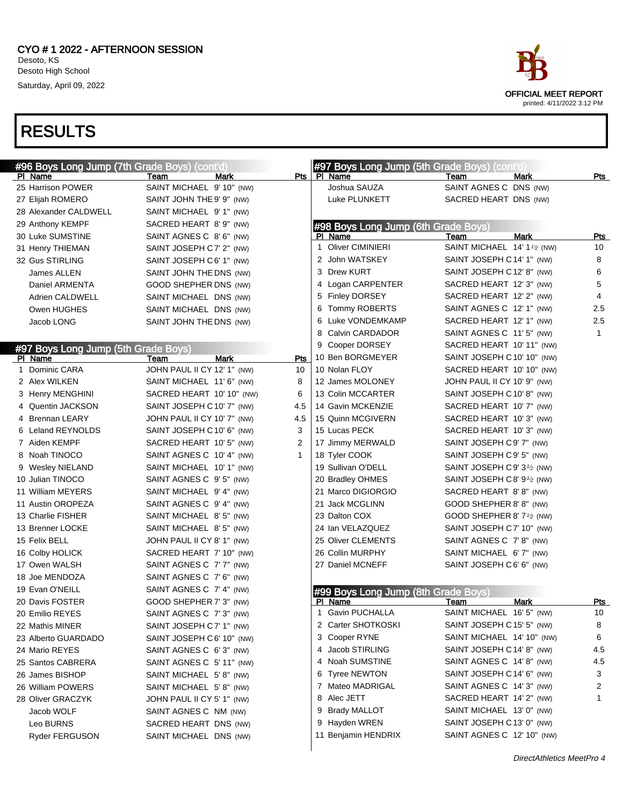| #96 Boys Long Jump (7th Grade Boys) (cont'd) |                             |              | #97 Boys Long Jump (5th Grade Boys) (cont'd |                                          |              |
|----------------------------------------------|-----------------------------|--------------|---------------------------------------------|------------------------------------------|--------------|
| PI Name                                      | Team<br>Mark                | Pts I        | PI Name                                     | <b>Mark</b><br>Team                      | Pts          |
| 25 Harrison POWER                            | SAINT MICHAEL 9' 10" (NW)   |              | Joshua SAUZA                                | SAINT AGNES C DNS (NW)                   |              |
| 27 Elijah ROMERO                             | SAINT JOHN THE 9' 9" (NW)   |              | Luke PLUNKETT                               | SACRED HEART DNS (NW)                    |              |
| 28 Alexander CALDWELL                        | SAINT MICHAEL 9' 1" (NW)    |              |                                             |                                          |              |
| 29 Anthony KEMPF                             | SACRED HEART 8' 9" (NW)     |              | #98 Boys Long Jump (6th Grade Boys)         |                                          |              |
| 30 Luke SUMSTINE                             | SAINT AGNES C 8' 6" (NW)    |              | PI Name                                     | Mark<br>Team                             | Pts          |
| 31 Henry THIEMAN                             | SAINT JOSEPH C7' 2" (NW)    |              | <b>Oliver CIMINIERI</b><br>1                | SAINT MICHAEL 14' 11/2 (NW)              | 10           |
| 32 Gus STIRLING                              | SAINT JOSEPH C6' 1" (NW)    |              | 2 John WATSKEY                              | SAINT JOSEPH C 14' 1" (NW)               | 8            |
| James ALLEN                                  | SAINT JOHN THE DNS (NW)     |              | 3 Drew KURT                                 | SAINT JOSEPH C 12' 8" (NW)               | 6            |
| Daniel ARMENTA                               | GOOD SHEPHER DNS (NW)       |              | 4 Logan CARPENTER                           | SACRED HEART 12' 3" (NW)                 | 5            |
| Adrien CALDWELL                              | SAINT MICHAEL DNS (NW)      |              | 5 Finley DORSEY                             | SACRED HEART 12' 2" (NW)                 | 4            |
| Owen HUGHES                                  | SAINT MICHAEL DNS (NW)      |              | 6 Tommy ROBERTS                             | SAINT AGNES C 12' 1" (NW)                | 2.5          |
| Jacob LONG                                   | SAINT JOHN THE DNS (NW)     |              | Luke VONDEMKAMP<br>6                        | SACRED HEART 12' 1" (NW)                 | 2.5          |
|                                              |                             |              | 8 Calvin CARDADOR                           | SAINT AGNES C 11' 5" (NW)                | $\mathbf{1}$ |
| #97 Boys Long Jump (5th Grade Boys)          |                             |              | 9 Cooper DORSEY                             | SACRED HEART 10' 11" (NW)                |              |
| PI Name                                      | Mark<br>Team                | Pts          | 10 Ben BORGMEYER                            | SAINT JOSEPH C 10' 10" (NW)              |              |
| 1 Dominic CARA                               | JOHN PAUL II CY 12' 1" (NW) | 10           | 10 Nolan FLOY                               | SACRED HEART 10' 10" (NW)                |              |
| 2 Alex WILKEN                                | SAINT MICHAEL 11'6" (NW)    | 8            | 12 James MOLONEY                            | JOHN PAUL II CY 10' 9" (NW)              |              |
| 3 Henry MENGHINI                             | SACRED HEART 10' 10" (NW)   | 6            | 13 Colin MCCARTER                           | SAINT JOSEPH C 10' 8" (NW)               |              |
| 4 Quentin JACKSON                            | SAINT JOSEPH C 10' 7" (NW)  | 4.5          | 14 Gavin MCKENZIE                           | SACRED HEART 10' 7" (NW)                 |              |
| 4 Brennan LEARY                              | JOHN PAUL II CY 10' 7" (NW) | 4.5          | 15 Quinn MCGIVERN                           | SACRED HEART 10' 3" (NW)                 |              |
| 6 Leland REYNOLDS                            | SAINT JOSEPH C10' 6" (NW)   | 3            | 15 Lucas PECK                               | SACRED HEART 10' 3" (NW)                 |              |
| 7 Aiden KEMPF                                | SACRED HEART 10' 5" (NW)    | 2            | 17 Jimmy MERWALD                            | SAINT JOSEPH C9' 7" (NW)                 |              |
| 8 Noah TINOCO                                | SAINT AGNES C 10' 4" (NW)   | $\mathbf{1}$ | 18 Tyler COOK                               | SAINT JOSEPH C9' 5" (NW)                 |              |
| 9 Wesley NIELAND                             | SAINT MICHAEL 10' 1" (NW)   |              | 19 Sullivan O'DELL                          | SAINT JOSEPH C 9' 3 <sup>1</sup> /2 (NW) |              |
| 10 Julian TINOCO                             | SAINT AGNES C 9' 5" (NW)    |              | 20 Bradley OHMES                            | SAINT JOSEPH C 8' 9 <sup>1</sup> /2 (NW) |              |
| 11 William MEYERS                            | SAINT MICHAEL 9'4" (NW)     |              | 21 Marco DIGIORGIO                          | SACRED HEART 8'8" (NW)                   |              |
| 11 Austin OROPEZA                            | SAINT AGNES C 9' 4" (NW)    |              | 21 Jack MCGLINN                             | GOOD SHEPHER 8' 8" (NW)                  |              |
| 13 Charlie FISHER                            | SAINT MICHAEL 8'5" (NW)     |              | 23 Dalton COX                               | GOOD SHEPHER 8' 7 <sup>1</sup> /2 (NW)   |              |
| 13 Brenner LOCKE                             | SAINT MICHAEL 8'5" (NW)     |              | 24 Ian VELAZQUEZ                            | SAINT JOSEPH C 7' 10" (NW)               |              |
| 15 Felix BELL                                | JOHN PAUL II CY 8' 1" (NW)  |              | 25 Oliver CLEMENTS                          | SAINT AGNES C 7'8" (NW)                  |              |
| 16 Colby HOLICK                              | SACRED HEART 7' 10" (NW)    |              | 26 Collin MURPHY                            | SAINT MICHAEL 6' 7" (NW)                 |              |
| 17 Owen WALSH                                | SAINT AGNES C 7' 7" (NW)    |              | 27 Daniel MCNEFF                            | SAINT JOSEPH C6' 6" (NW)                 |              |
| 18 Joe MENDOZA                               | SAINT AGNES C 7' 6" (NW)    |              |                                             |                                          |              |
| 19 Evan O'NEILL                              | SAINT AGNES C 7' 4" (NW)    |              | #99 Boys Long Jump (8th Grade Boys)         |                                          |              |
| 20 Davis FOSTER                              | GOOD SHEPHER 7' 3" (NW)     |              | PI Name                                     | Mark<br>Team                             | Pts          |
| 20 Emilio REYES                              | SAINT AGNES C 7' 3" (NW)    |              | <b>Gavin PUCHALLA</b><br>$\mathbf{1}$       | SAINT MICHAEL 16' 5" (NW)                | 10           |
| 22 Mathis MINER                              | SAINT JOSEPH C7' 1" (NW)    |              | 2 Carter SHOTKOSKI                          | SAINT JOSEPH C 15' 5" (NW)               | 8            |
| 23 Alberto GUARDADO                          | SAINT JOSEPH C6' 10" (NW)   |              | 3 Cooper RYNE                               | SAINT MICHAEL 14' 10" (NW)               | 6            |
| 24 Mario REYES                               | SAINT AGNES C 6' 3" (NW)    |              | 4 Jacob STIRLING                            | SAINT JOSEPH C 14' 8" (NW)               | 4.5          |
| 25 Santos CABRERA                            | SAINT AGNES C 5' 11" (NW)   |              | 4 Noah SUMSTINE                             | SAINT AGNES C 14' 8" (NW)                | 4.5          |
| 26 James BISHOP                              | SAINT MICHAEL 5'8" (NW)     |              | 6 Tyree NEWTON                              | SAINT JOSEPH C 14' 6" (NW)               | 3            |
| 26 William POWERS                            | SAINT MICHAEL 5'8" (NW)     |              | 7 Mateo MADRIGAL                            | SAINT AGNES C 14' 3" (NW)                | 2            |
| 28 Oliver GRACZYK                            | JOHN PAUL II CY 5' 1" (NW)  |              | 8 Alec JETT                                 | SACRED HEART 14' 2" (NW)                 | 1.           |
| Jacob WOLF                                   | SAINT AGNES C NM (NW)       |              | 9 Brady MALLOT                              | SAINT MICHAEL 13' 0" (NW)                |              |
| Leo BURNS                                    | SACRED HEART DNS (NW)       |              | 9 Hayden WREN                               | SAINT JOSEPH C 13' 0" (NW)               |              |
| <b>Ryder FERGUSON</b>                        | SAINT MICHAEL DNS (NW)      |              | 11 Benjamin HENDRIX                         | SAINT AGNES C 12' 10" (NW)               |              |
|                                              |                             |              |                                             |                                          |              |

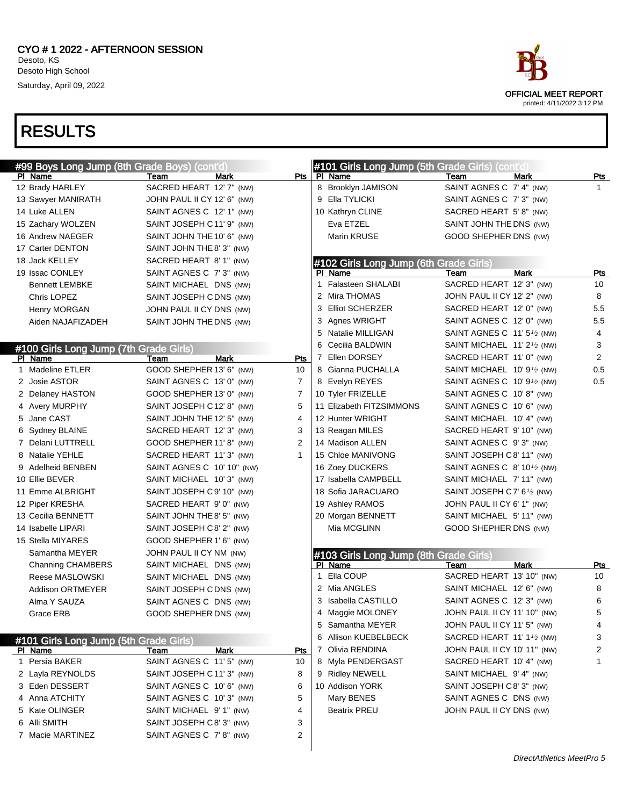| #99 Boys Long Jump (8th Grade Boys) (cont'd) |                             |                | #101 Girls Long Jump (5th Grade Girls) (cont'd) |                                                        |                |
|----------------------------------------------|-----------------------------|----------------|-------------------------------------------------|--------------------------------------------------------|----------------|
| PI Name                                      | Mark<br>Team                |                | Pts   PI Name                                   | <b>Mark</b><br>Team                                    | <u>Pts</u>     |
| 12 Brady HARLEY                              | SACRED HEART 12' 7" (NW)    |                | 8 Brooklyn JAMISON                              | SAINT AGNES C 7' 4" (NW)                               | 1.             |
| 13 Sawyer MANIRATH                           | JOHN PAUL II CY 12' 6" (NW) |                | 9 Ella TYLICKI                                  | SAINT AGNES C 7' 3" (NW)                               |                |
| 14 Luke ALLEN                                | SAINT AGNES C 12' 1" (NW)   |                | 10 Kathryn CLINE                                | SACRED HEART 5' 8" (NW)                                |                |
| 15 Zachary WOLZEN                            | SAINT JOSEPH C11' 9" (NW)   |                | Eva ETZEL                                       | SAINT JOHN THE DNS (NW)                                |                |
| 16 Andrew NAEGER                             | SAINT JOHN THE 10' 6" (NW)  |                | Marin KRUSE                                     | GOOD SHEPHER DNS (NW)                                  |                |
| 17 Carter DENTON                             | SAINT JOHN THE 8' 3" (NW)   |                |                                                 |                                                        |                |
| 18 Jack KELLEY                               | SACRED HEART 8' 1" (NW)     |                | #102 Girls Long Jump (6th Grade Girls)          |                                                        |                |
| 19 Issac CONLEY                              | SAINT AGNES C 7' 3" (NW)    |                | PI Name                                         | <b>Mark</b><br>Team                                    | Pts            |
| <b>Bennett LEMBKE</b>                        | SAINT MICHAEL DNS (NW)      |                | 1 Falasteen SHALABI                             | SACRED HEART 12' 3" (NW)                               | 10             |
| Chris LOPEZ                                  | SAINT JOSEPH CDNS (NW)      |                | 2 Mira THOMAS                                   | JOHN PAUL II CY 12' 2" (NW)                            | 8              |
| Henry MORGAN                                 | JOHN PAUL II CY DNS (NW)    |                | 3 Elliot SCHERZER                               | SACRED HEART 12' 0" (NW)                               | 5.5            |
| Aiden NAJAFIZADEH                            | SAINT JOHN THE DNS (NW)     |                | 3 Agnes WRIGHT                                  | SAINT AGNES C 12' 0" (NW)                              | 5.5            |
|                                              |                             |                | 5 Natalie MILLIGAN                              | SAINT AGNES C $11'5\frac{1}{2}$ (NW)                   | 4              |
| #100 Girls Long Jump (7th Grade Girls)       |                             |                | Cecilia BALDWIN<br>6                            | SAINT MICHAEL 11' 2 <sup>1</sup> / <sub>2</sub> (NW)   | 3              |
| PI Name                                      | Mark<br>Team                | Pts            | 7 Ellen DORSEY                                  | SACRED HEART 11' 0" (NW)                               | $\overline{2}$ |
| 1 Madeline ETLER                             | GOOD SHEPHER 13' 6" (NW)    | 10             | 8 Gianna PUCHALLA                               | SAINT MICHAEL 10' 9 <sup>1</sup> / <sub>2</sub> (NW)   | 0.5            |
| 2 Josie ASTOR                                | SAINT AGNES C 13' 0" (NW)   | $\overline{7}$ | 8 Evelyn REYES                                  | SAINT AGNES C $10'9\frac{1}{2}$ (NW)                   | 0.5            |
| 2 Delaney HASTON                             | GOOD SHEPHER 13' 0" (NW)    | $\overline{7}$ | 10 Tyler FRIZELLE                               | SAINT AGNES C 10'8" (NW)                               |                |
| 4 Avery MURPHY                               | SAINT JOSEPH C12' 8" (NW)   | 5              | 11 Elizabeth FITZSIMMONS                        | SAINT AGNES C 10' 6" (NW)                              |                |
| 5 Jane CAST                                  | SAINT JOHN THE 12' 5" (NW)  | 4              | 12 Hunter WRIGHT                                | SAINT MICHAEL 10' 4" (NW)                              |                |
| 6 Sydney BLAINE                              | SACRED HEART 12' 3" (NW)    | 3              | 13 Reagan MILES                                 | SACRED HEART 9' 10" (NW)                               |                |
| 7 Delani LUTTRELL                            | GOOD SHEPHER 11' 8" (NW)    | 2              | 14 Madison ALLEN                                | SAINT AGNES C 9'3" (NW)                                |                |
| 8 Natalie YEHLE                              | SACRED HEART 11'3" (NW)     | 1              | 15 Chloe MANIVONG                               | SAINT JOSEPH C8' 11" (NW)                              |                |
| 9 Adelheid BENBEN                            | SAINT AGNES C 10' 10" (NW)  |                | 16 Zoey DUCKERS                                 | SAINT AGNES C $8'$ 10 <sup>1</sup> / <sub>2</sub> (NW) |                |
| 10 Ellie BEVER                               | SAINT MICHAEL 10'3" (NW)    |                | 17 Isabella CAMPBELL                            | SAINT MICHAEL 7' 11" (NW)                              |                |
| 11 Emme ALBRIGHT                             | SAINT JOSEPH C9' 10" (NW)   |                | 18 Sofia JARACUARO                              | SAINT JOSEPH C 7' 6 <sup>1</sup> /2 (NW)               |                |
| 12 Piper KRESHA                              | SACRED HEART 9' 0" (NW)     |                | 19 Ashley RAMOS                                 | JOHN PAUL II CY 6' 1" (NW)                             |                |
| 13 Cecilia BENNETT                           | SAINT JOHN THE 8' 5" (NW)   |                | 20 Morgan BENNETT                               | SAINT MICHAEL 5' 11" (NW)                              |                |
| 14 Isabelle LIPARI                           | SAINT JOSEPH C8' 2" (NW)    |                | Mia MCGLINN                                     | GOOD SHEPHER DNS (NW)                                  |                |
| 15 Stella MIYARES                            | GOOD SHEPHER 1' 6" (NW)     |                |                                                 |                                                        |                |
| Samantha MEYER                               | JOHN PAUL II CY NM (NW)     |                | #103 Girls Long Jump (8th Grade Girls)          |                                                        |                |
| Channing CHAMBERS                            | SAINT MICHAEL DNS (NW)      |                | PI Name                                         | Mark<br>Team                                           | Pts            |
| Reese MASLOWSKI                              | SAINT MICHAEL DNS (NW)      |                | Ella COUP<br>1                                  | SACRED HEART 13' 10" (NW)                              | 10             |
| <b>Addison ORTMEYER</b>                      | SAINT JOSEPH CDNS (NW)      |                | 2 Mia ANGLES                                    | SAINT MICHAEL 12' 6" (NW)                              | 8              |
| Alma Y SAUZA                                 | SAINT AGNES C DNS (NW)      |                | 3 Isabella CASTILLO                             | SAINT AGNES C 12' 3" (NW)                              | 6              |
| Grace ERB                                    | GOOD SHEPHER DNS (NW)       |                | 4 Maggie MOLONEY                                | JOHN PAUL II CY 11' 10" (NW)                           | 5              |
|                                              |                             |                | 5 Samantha MEYER                                | JOHN PAUL II CY 11' 5" (NW)                            | 4              |
| #101 Girls Long Jump (5th Grade Girls)       |                             |                | 6 Allison KUEBELBECK                            | SACRED HEART 11' 1 <sup>1</sup> / <sub>2</sub> (NW)    | 3              |
| PI Name                                      | Mark<br>Team                | Pts            | 7 Olivia RENDINA                                | JOHN PAUL II CY 10' 11" (NW)                           | 2              |
| 1 Persia BAKER                               | SAINT AGNES C 11' 5" (NW)   | 10             | 8 Myla PENDERGAST                               | SACRED HEART 10' 4" (NW)                               | 1              |
| 2 Layla REYNOLDS                             | SAINT JOSEPH C11' 3" (NW)   | 8              | 9 Ridley NEWELL                                 | SAINT MICHAEL 9' 4" (NW)                               |                |
| 3 Eden DESSERT                               | SAINT AGNES C 10' 6" (NW)   | 6              | 10 Addison YORK                                 | SAINT JOSEPH C8' 3" (NW)                               |                |
| 4 Anna ATCHITY                               | SAINT AGNES C 10' 3" (NW)   | 5              | Mary BENES                                      | SAINT AGNES C DNS (NW)                                 |                |
| 5 Kate OLINGER                               | SAINT MICHAEL 9' 1" (NW)    | 4              | Beatrix PREU                                    | JOHN PAUL II CY DNS (NW)                               |                |
| 6 Alli SMITH                                 | SAINT JOSEPH C8' 3" (NW)    | 3              |                                                 |                                                        |                |
| 7 Macie MARTINEZ                             | SAINT AGNES C 7'8" (NW)     | 2              |                                                 |                                                        |                |
|                                              |                             |                |                                                 |                                                        |                |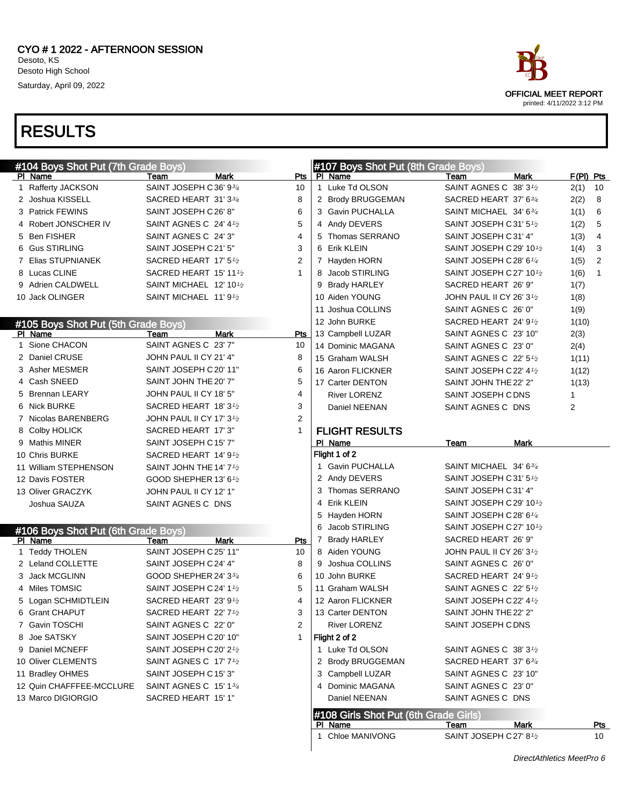|   |                                                |                                                |      |              |   | #107 Boys Shot Put (8th Grade Boys)   |                                                   |             |           |              |
|---|------------------------------------------------|------------------------------------------------|------|--------------|---|---------------------------------------|---------------------------------------------------|-------------|-----------|--------------|
|   | #104 Boys Shot Put (7th Grade Boys)<br>PI Name | Team                                           | Mark | Pts          |   | PI Name                               | Team                                              | <b>Mark</b> | F(PI) Pts |              |
|   | 1 Rafferty JACKSON                             | SAINT JOSEPH C36' 93/4                         |      | 10           |   | 1 Luke Td OLSON                       | SAINT AGNES C 38' 31/2                            |             | 2(1)      | 10           |
|   | 2 Joshua KISSELL                               | SACRED HEART 31' 33/4                          |      | 8            |   | 2 Brody BRUGGEMAN                     | SACRED HEART 37' 63/4                             |             | 2(2)      | 8            |
|   | 3 Patrick FEWINS                               | SAINT JOSEPH C 26' 8"                          |      | 6            |   | 3 Gavin PUCHALLA                      | SAINT MICHAEL 34' 6 <sup>3/4</sup>                |             | 1(1)      | 6            |
|   | 4 Robert JONSCHER IV                           | SAINT AGNES C 24' 41/2                         |      | 5            |   | 4 Andy DEVERS                         | SAINT JOSEPH C31' 51/2                            |             | 1(2)      | 5            |
|   | 5 Ben FISHER                                   | SAINT AGNES C 24' 3"                           |      | 4            |   | 5 Thomas SERRANO                      | SAINT JOSEPH C31' 4"                              |             | 1(3)      | 4            |
|   | 6 Gus STIRLING                                 | SAINT JOSEPH C21' 5"                           |      | 3            |   | 6 Erik KLEIN                          | SAINT JOSEPH C 29' 10 <sup>1</sup> /2             |             | 1(4)      | 3            |
|   | 7 Elias STUPNIANEK                             | SACRED HEART 17' 5 <sup>1</sup> /2             |      | 2            |   | 7 Hayden HORN                         | SAINT JOSEPH C 28' 61/4                           |             | 1(5)      | 2            |
|   | 8 Lucas CLINE                                  | SACRED HEART 15' 11 <sup>1</sup> /2            |      | $\mathbf{1}$ |   | 8 Jacob STIRLING                      | SAINT JOSEPH C 27' 10 <sup>1</sup> /2             |             | 1(6)      | $\mathbf{1}$ |
|   | 9 Adrien CALDWELL                              | SAINT MICHAEL 12' 10 <sup>1</sup> /2           |      |              |   | 9 Brady HARLEY                        | SACRED HEART 26' 9"                               |             | 1(7)      |              |
|   | 10 Jack OLINGER                                | SAINT MICHAEL 11' 9 <sup>1</sup> /2            |      |              |   | 10 Aiden YOUNG                        | JOHN PAUL II CY 26' $3\frac{1}{2}$                |             | 1(8)      |              |
|   |                                                |                                                |      |              |   | 11 Joshua COLLINS                     | SAINT AGNES C 26' 0"                              |             | 1(9)      |              |
|   | #105 Boys Shot Put (5th Grade Boys)            |                                                |      |              |   | 12 John BURKE                         | SACRED HEART 24' 9 <sup>1</sup> /2                |             | 1(10)     |              |
|   | PI Name                                        | Team                                           | Mark | Pts          |   | 13 Campbell LUZAR                     | SAINT AGNES C 23' 10"                             |             | 2(3)      |              |
| 1 | Sione CHACON                                   | SAINT AGNES C 23' 7"                           |      | 10           |   | 14 Dominic MAGANA                     | SAINT AGNES C 23' 0"                              |             | 2(4)      |              |
|   | 2 Daniel CRUSE                                 | JOHN PAUL II CY 21' 4"                         |      | 8            |   | 15 Graham WALSH                       | SAINT AGNES C $22'$ 5 <sup>1</sup> / <sub>2</sub> |             | 1(11)     |              |
|   | 3 Asher MESMER                                 | SAINT JOSEPH C 20' 11"                         |      | 6            |   | 16 Aaron FLICKNER                     | SAINT JOSEPH C 22' 4 <sup>1</sup> /2              |             | 1(12)     |              |
|   | 4 Cash SNEED                                   | SAINT JOHN THE 20' 7"                          |      | 5            |   | 17 Carter DENTON                      | SAINT JOHN THE 22' 2"                             |             | 1(13)     |              |
|   | 5 Brennan LEARY                                | JOHN PAUL II CY 18' 5"                         |      | 4            |   | <b>River LORENZ</b>                   | SAINT JOSEPH C DNS                                |             | 1         |              |
|   | 6 Nick BURKE                                   | SACRED HEART 18' 31/2                          |      | 3            |   | Daniel NEENAN                         | SAINT AGNES C DNS                                 |             | 2         |              |
|   | 7 Nicolas BARENBERG                            | JOHN PAUL II CY 17' 31/2                       |      | 2            |   |                                       |                                                   |             |           |              |
|   | 8 Colby HOLICK                                 | SACRED HEART 17' 3"                            |      | $\mathbf{1}$ |   | <b>FLIGHT RESULTS</b>                 |                                                   |             |           |              |
|   | 9 Mathis MINER                                 | SAINT JOSEPH C15' 7"                           |      |              |   | PI Name                               | Team                                              | Mark        |           |              |
|   | 10 Chris BURKE                                 | SACRED HEART 14' 9 <sup>1</sup> /2             |      |              |   | Flight 1 of 2                         |                                                   |             |           |              |
|   | 11 William STEPHENSON                          | SAINT JOHN THE 14' 7 <sup>1</sup> /2           |      |              |   | 1 Gavin PUCHALLA                      | SAINT MICHAEL 34' 63/4                            |             |           |              |
|   | 12 Davis FOSTER                                | GOOD SHEPHER 13' 6 <sup>1</sup> / <sub>2</sub> |      |              |   | 2 Andy DEVERS                         | SAINT JOSEPH C31' 51/2                            |             |           |              |
|   | 13 Oliver GRACZYK                              | JOHN PAUL II CY 12' 1"                         |      |              | 3 | Thomas SERRANO                        | SAINT JOSEPH C31' 4"                              |             |           |              |
|   | Joshua SAUZA                                   | SAINT AGNES C DNS                              |      |              | 4 | <b>Erik KLEIN</b>                     | SAINT JOSEPH C 29' 101/2                          |             |           |              |
|   |                                                |                                                |      |              | 5 | Hayden HORN                           | SAINT JOSEPH C 28' 61/4                           |             |           |              |
|   | #106 Boys Shot Put (6th Grade Boys)            |                                                |      |              | 6 | Jacob STIRLING                        | SAINT JOSEPH C 27' 101/2                          |             |           |              |
|   | PI Name                                        | Team                                           | Mark | Pts          |   | 7 Brady HARLEY                        | SACRED HEART 26' 9"                               |             |           |              |
|   | 1 Teddy THOLEN                                 | SAINT JOSEPH C 25' 11"                         |      | 10           |   | 8 Aiden YOUNG                         | JOHN PAUL II CY 26' $3\frac{1}{2}$                |             |           |              |
|   | 2 Leland COLLETTE                              | SAINT JOSEPH C24' 4"                           |      | 8            |   | 9 Joshua COLLINS                      | SAINT AGNES C 26' 0"                              |             |           |              |
|   | 3 Jack MCGLINN                                 | GOOD SHEPHER 24' 334                           |      | 6            |   | 10 John BURKE                         | SACRED HEART 24' 91/2                             |             |           |              |
|   | 4 Miles TOMSIC                                 | SAINT JOSEPH C24' 11/2                         |      | 5            |   | 11 Graham WALSH                       | SAINT AGNES C 22' 51/2                            |             |           |              |
|   | 5 Logan SCHMIDTLEIN                            | SACRED HEART 23' 91/2                          |      | 4            |   | 12 Aaron FLICKNER                     | SAINT JOSEPH C 22' 4 <sup>1/2</sup>               |             |           |              |
|   | 6 Grant CHAPUT                                 | SACRED HEART 22' 71/2                          |      | 3            |   | 13 Carter DENTON                      | SAINT JOHN THE 22' 2"                             |             |           |              |
|   | 7 Gavin TOSCHI                                 | SAINT AGNES C 22' 0"                           |      | 2            |   | <b>River LORENZ</b>                   | SAINT JOSEPH C DNS                                |             |           |              |
|   | 8 Joe SATSKY                                   | SAINT JOSEPH C 20' 10"                         |      | $\mathbf{1}$ |   | Flight 2 of 2                         |                                                   |             |           |              |
|   | 9 Daniel MCNEFF                                | SAINT JOSEPH C 20' 2 <sup>1</sup> /2           |      |              |   | 1 Luke Td OLSON                       | SAINT AGNES C 38' 3 <sup>1</sup> /2               |             |           |              |
|   | 10 Oliver CLEMENTS                             | SAINT AGNES C 17' 7 <sup>1</sup> /2            |      |              |   | 2 Brody BRUGGEMAN                     | SACRED HEART 37' 634                              |             |           |              |
|   | 11 Bradley OHMES                               | SAINT JOSEPH C15' 3"                           |      |              |   | 3 Campbell LUZAR                      | SAINT AGNES C 23' 10"                             |             |           |              |
|   | 12 Quin CHAFFFEE-MCCLURE                       | SAINT AGNES C 15' 134                          |      |              |   | 4 Dominic MAGANA                      | SAINT AGNES C 23' 0"                              |             |           |              |
|   | 13 Marco DIGIORGIO                             | SACRED HEART 15' 1"                            |      |              |   | Daniel NEENAN                         | SAINT AGNES C DNS                                 |             |           |              |
|   |                                                |                                                |      |              |   | #108 Girls Shot Put (6th Grade Girls) |                                                   |             |           |              |
|   |                                                |                                                |      |              |   | PI Name                               | Team                                              | Mark        |           | <u>Pts</u>   |
|   |                                                |                                                |      |              |   | 1 Chloe MANIVONG                      | SAINT JOSEPH C 27' 8 <sup>1</sup> /2              |             |           | 10           |

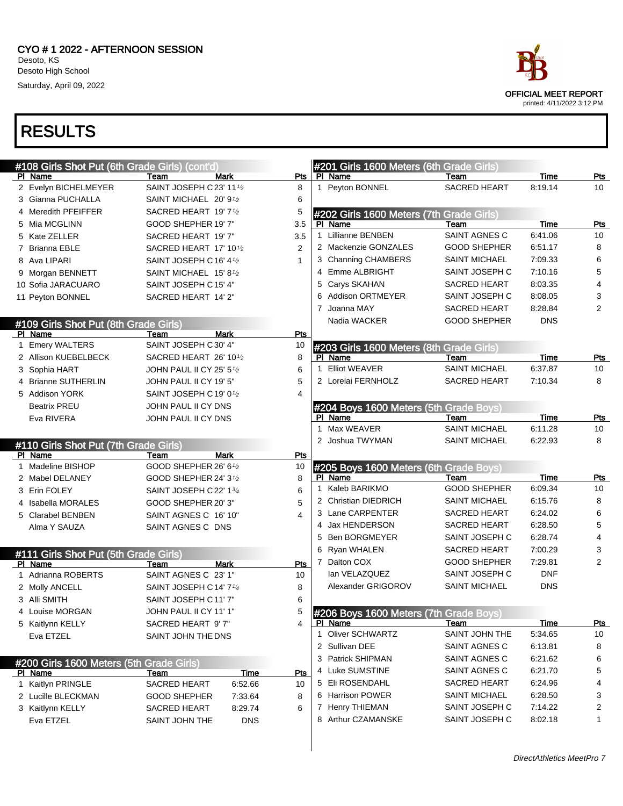| #108 Girls Shot Put (6th Grade Girls) (cont'd |                                       |                |                | #201 Girls 1600 Meters (6th Grade Girls) |                      |             |                |
|-----------------------------------------------|---------------------------------------|----------------|----------------|------------------------------------------|----------------------|-------------|----------------|
| PI Name                                       | Team<br>Mark                          | Pts            |                | PI Name                                  | Team                 | <b>Time</b> | Pts            |
| 2 Evelyn BICHELMEYER                          | SAINT JOSEPH C 23' 11 <sup>1</sup> /2 | 8              |                | 1 Peyton BONNEL                          | <b>SACRED HEART</b>  | 8:19.14     | 10             |
| 3 Gianna PUCHALLA                             | SAINT MICHAEL 20' 9 <sup>1</sup> /2   | 6              |                |                                          |                      |             |                |
| 4 Meredith PFEIFFER                           | SACRED HEART 19' 7 <sup>1</sup> /2    | 5              |                | #202 Girls 1600 Meters (7th Grade Girls) |                      |             |                |
| 5 Mia MCGLINN                                 | GOOD SHEPHER 19' 7"                   | 3.5            |                | PI Name                                  | Team                 | Time        | Pts            |
| 5 Kate ZELLER                                 | SACRED HEART 19' 7"                   | 3.5            |                | 1 Lillianne BENBEN                       | SAINT AGNES C        | 6:41.06     | 10             |
| 7 Brianna EBLE                                | SACRED HEART 17' 10 <sup>1</sup> /2   | $\overline{2}$ |                | 2 Mackenzie GONZALES                     | <b>GOOD SHEPHER</b>  | 6:51.17     | 8              |
| 8 Ava LIPARI                                  | SAINT JOSEPH C16' 4 <sup>1</sup> /2   | 1              |                | 3 Channing CHAMBERS                      | <b>SAINT MICHAEL</b> | 7:09.33     | 6              |
| 9 Morgan BENNETT                              | SAINT MICHAEL 15' 8 <sup>1</sup> /2   |                |                | 4 Emme ALBRIGHT                          | SAINT JOSEPH C       | 7:10.16     | 5              |
| 10 Sofia JARACUARO                            | SAINT JOSEPH C15' 4"                  |                | 5              | Carys SKAHAN                             | <b>SACRED HEART</b>  | 8:03.35     | 4              |
| 11 Peyton BONNEL                              | SACRED HEART 14' 2"                   |                | 6              | <b>Addison ORTMEYER</b>                  | SAINT JOSEPH C       | 8:08.05     | 3              |
|                                               |                                       |                | $\overline{7}$ | Joanna MAY                               | <b>SACRED HEART</b>  | 8:28.84     | $\overline{2}$ |
| #109 Girls Shot Put (8th Grade Girls)         |                                       |                |                | Nadia WACKER                             | <b>GOOD SHEPHER</b>  | <b>DNS</b>  |                |
| PI Name                                       | Mark<br>Team                          | Pts            |                |                                          |                      |             |                |
| 1 Emery WALTERS                               | SAINT JOSEPH C30' 4"                  | 10             |                | #203 Girls 1600 Meters (8th Grade Girls) |                      |             |                |
| 2 Allison KUEBELBECK                          | SACRED HEART 26' 10 $\frac{1}{2}$     | 8              |                | PI Name                                  | Team                 | Time        | Pts            |
| 3 Sophia HART                                 | JOHN PAUL II CY 25' 51⁄2              | 6              | 1              | <b>Elliot WEAVER</b>                     | <b>SAINT MICHAEL</b> | 6:37.87     | 10             |
| 4 Brianne SUTHERLIN                           | JOHN PAUL II CY 19' 5"                | 5              |                | 2 Lorelai FERNHOLZ                       | <b>SACRED HEART</b>  | 7:10.34     | 8              |
| 5 Addison YORK                                | SAINT JOSEPH C19' 01/2                | 4              |                |                                          |                      |             |                |
| <b>Beatrix PREU</b>                           | JOHN PAUL II CY DNS                   |                |                | #204 Boys 1600 Meters (5th Grade Boys)   |                      |             |                |
| Eva RIVERA                                    | JOHN PAUL II CY DNS                   |                |                | PI Name                                  | Team                 | Time        | <u>Pts</u>     |
|                                               |                                       |                | $\mathbf{1}$   | Max WEAVER                               | <b>SAINT MICHAEL</b> | 6:11.28     | 10             |
| #110 Girls Shot Put (7th Grade Girls)         |                                       |                |                | 2 Joshua TWYMAN                          | <b>SAINT MICHAEL</b> | 6:22.93     | 8              |
| PI Name                                       | Team<br>Mark                          | Pts            |                |                                          |                      |             |                |
| 1 Madeline BISHOP                             | GOOD SHEPHER 26' 61/2                 | 10             |                | #205 Boys 1600 Meters (6th Grade Boys)   |                      |             |                |
| 2 Mabel DELANEY                               | GOOD SHEPHER 24' 31/2                 | 8              |                | PI Name                                  | Team                 | Time        | <b>Pts</b>     |
| 3 Erin FOLEY                                  | SAINT JOSEPH C 22' 134                | 6              |                | 1 Kaleb BARIKMO                          | <b>GOOD SHEPHER</b>  | 6:09.34     | 10             |
| 4 Isabella MORALES                            | GOOD SHEPHER 20'3"                    | 5              |                | 2 Christian DIEDRICH                     | <b>SAINT MICHAEL</b> | 6:15.76     | 8              |
| 5 Clarabel BENBEN                             | SAINT AGNES C 16' 10"                 | 4              |                | 3 Lane CARPENTER                         | SACRED HEART         | 6:24.02     | 6              |
| Alma Y SAUZA                                  | SAINT AGNES C DNS                     |                |                | 4 Jax HENDERSON                          | SACRED HEART         | 6:28.50     | 5              |
|                                               |                                       |                |                | 5 Ben BORGMEYER                          | SAINT JOSEPH C       | 6:28.74     | 4              |
| #111 Girls Shot Put (5th Grade Girls)         |                                       |                |                | 6 Ryan WHALEN                            | SACRED HEART         | 7:00.29     | 3              |
| PI Name                                       | Mark<br>Team                          | Pts            |                | 7 Dalton COX                             | <b>GOOD SHEPHER</b>  | 7:29.81     | 2              |
| 1 Adrianna ROBERTS                            | SAINT AGNES C 23' 1"                  | 10             |                | lan VELAZQUEZ                            | SAINT JOSEPH C       | <b>DNF</b>  |                |
| 2 Molly ANCELL                                | SAINT JOSEPH C14' 71/4                | 8              |                | Alexander GRIGOROV                       | <b>SAINT MICHAEL</b> | <b>DNS</b>  |                |
| 3 Alli SMITH                                  | SAINT JOSEPH C11'7"                   | 6              |                |                                          |                      |             |                |
| 4 Louise MORGAN                               | JOHN PAUL II CY 11' 1"                |                |                | #206 Boys 1600 Meters (7th Grade Boys)   |                      |             |                |
| 5 Kaitlynn KELLY                              | SACRED HEART 9'7"                     | 4              |                | PI Name                                  | Team                 | Time        | <u>Pts</u>     |
| Eva ETZEL                                     | SAINT JOHN THE DNS                    |                |                | 1 Oliver SCHWARTZ                        | SAINT JOHN THE       | 5:34.65     | 10             |
|                                               |                                       |                |                | 2 Sullivan DEE                           | SAINT AGNES C        | 6:13.81     | 8              |
| #200 Girls 1600 Meters (5th Grade Girls)      |                                       |                |                | 3 Patrick SHIPMAN                        | SAINT AGNES C        | 6:21.62     | 6              |
| PI Name                                       | <u>Time</u><br>Team                   | Pts            |                | 4 Luke SUMSTINE                          | SAINT AGNES C        | 6:21.70     | 5              |
| 1 Kaitlyn PRINGLE                             | 6:52.66<br><b>SACRED HEART</b>        | 10             |                | 5 Eli ROSENDAHL                          | SACRED HEART         | 6:24.96     | 4              |
| 2 Lucille BLECKMAN                            | GOOD SHEPHER<br>7:33.64               | 8              |                | 6 Harrison POWER                         | SAINT MICHAEL        | 6:28.50     | 3              |
| 3 Kaitlynn KELLY                              | SACRED HEART<br>8:29.74               | 6              |                | 7 Henry THIEMAN                          | SAINT JOSEPH C       | 7:14.22     | 2              |
| Eva ETZEL                                     | <b>DNS</b><br>SAINT JOHN THE          |                |                | 8 Arthur CZAMANSKE                       | SAINT JOSEPH C       | 8:02.18     | 1              |
|                                               |                                       |                |                |                                          |                      |             |                |



printed: 4/11/2022 3:12 PM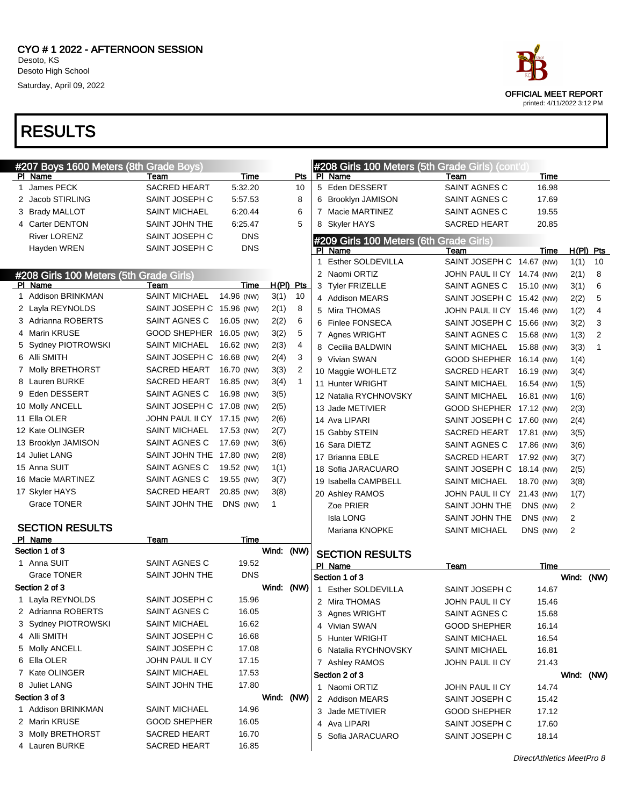

|   | #207 Boys 1600 Meters (8th Grade Boys)  |                            |            |             |              |   | #208 Girls 100 Meters (5th Grade Girls) (cont'd) |                            |             |                |                |
|---|-----------------------------------------|----------------------------|------------|-------------|--------------|---|--------------------------------------------------|----------------------------|-------------|----------------|----------------|
|   | PI Name                                 | Team                       | Time       |             | Pts          |   | PI Name                                          | Team                       | Time        |                |                |
| 1 | James PECK                              | <b>SACRED HEART</b>        | 5.32.20    |             | 10           |   | 5 Eden DESSERT                                   | SAINT AGNES C              | 16.98       |                |                |
|   | 2 Jacob STIRLING                        | SAINT JOSEPH C             | 5:57.53    |             | 8            |   | 6 Brooklyn JAMISON                               | SAINT AGNES C              | 17.69       |                |                |
|   | 3 Brady MALLOT                          | <b>SAINT MICHAEL</b>       | 6:20.44    |             | 6            |   | 7 Macie MARTINEZ                                 | SAINT AGNES C              | 19.55       |                |                |
|   | 4 Carter DENTON                         | SAINT JOHN THE             | 6:25.47    |             | 5            |   | 8 Skyler HAYS                                    | SACRED HEART               | 20.85       |                |                |
|   | <b>River LORENZ</b>                     | SAINT JOSEPH C             | <b>DNS</b> |             |              |   | #209 Girls 100 Meters (6th Grade Girls)          |                            |             |                |                |
|   | Hayden WREN                             | SAINT JOSEPH C             | <b>DNS</b> |             |              |   | PI Name                                          | Team                       | Time        |                | $H(PI)$ Pts    |
|   |                                         |                            |            |             |              | 1 | Esther SOLDEVILLA                                | SAINT JOSEPH C 14.67 (NW)  |             | 1(1)           | 10             |
|   | #208 Girls 100 Meters (5th Grade Girls) |                            |            |             |              |   | 2 Naomi ORTIZ                                    | JOHN PAUL II CY 14.74 (NW) |             | 2(1)           | 8              |
|   | PI Name                                 | Team                       | Time       | $H(PI)$ Pts |              |   | 3 Tyler FRIZELLE                                 | SAINT AGNES C              | 15.10 (NW)  | 3(1)           | 6              |
|   | 1 Addison BRINKMAN                      | <b>SAINT MICHAEL</b>       | 14.96 (NW) | 3(1)        | 10           |   | 4 Addison MEARS                                  | SAINT JOSEPH C 15.42 (NW)  |             | 2(2)           | 5              |
|   | 2 Layla REYNOLDS                        | SAINT JOSEPH C             | 15.96 (NW) | 2(1)        | 8            |   | 5 Mira THOMAS                                    | JOHN PAUL II CY 15.46 (NW) |             | 1(2)           | $\overline{4}$ |
|   | 3 Adrianna ROBERTS                      | SAINT AGNES C              | 16.05 (NW) | 2(2)        | 6            |   | 6 Finlee FONSECA                                 | SAINT JOSEPH C 15.66 (NW)  |             | 3(2)           | 3              |
|   | 4 Marin KRUSE                           | <b>GOOD SHEPHER</b>        | 16.05 (NW) | 3(2)        | 5            |   | 7 Agnes WRIGHT                                   | SAINT AGNES C              | 15.68 (NW)  | 1(3)           | $\overline{2}$ |
|   | 5 Sydney PIOTROWSKI                     | <b>SAINT MICHAEL</b>       | 16.62 (NW) | 2(3)        | 4            |   | 8 Cecilia BALDWIN                                | SAINT MICHAEL              | 15.88 (NW)  | 3(3)           | 1              |
|   | 6 Alli SMITH                            | SAINT JOSEPH C             | 16.68 (NW) | 2(4)        | 3            |   | 9 Vivian SWAN                                    | GOOD SHEPHER 16.14 (NW)    |             | 1(4)           |                |
|   | 7 Molly BRETHORST                       | <b>SACRED HEART</b>        | 16.70 (NW) | 3(3)        | 2            |   | 10 Maggie WOHLETZ                                | SACRED HEART 16.19 (NW)    |             | 3(4)           |                |
|   | 8 Lauren BURKE                          | <b>SACRED HEART</b>        | 16.85 (NW) | 3(4)        | $\mathbf{1}$ |   | 11 Hunter WRIGHT                                 | SAINT MICHAEL              | 16.54 (NW)  | 1(5)           |                |
|   | 9 Eden DESSERT                          | SAINT AGNES C              | 16.98 (NW) | 3(5)        |              |   | 12 Natalia RYCHNOVSKY                            | <b>SAINT MICHAEL</b>       | 16.81 (NW)  | 1(6)           |                |
|   | 10 Molly ANCELL                         | SAINT JOSEPH C 17.08 (NW)  |            | 2(5)        |              |   | 13 Jade METIVIER                                 | GOOD SHEPHER 17.12 (NW)    |             | 2(3)           |                |
|   | 11 Ella OLER                            | JOHN PAUL II CY 17.15 (NW) |            | 2(6)        |              |   | 14 Ava LIPARI                                    | SAINT JOSEPH C 17.60 (NW)  |             | 2(4)           |                |
|   | 12 Kate OLINGER                         | <b>SAINT MICHAEL</b>       | 17.53 (NW) | 2(7)        |              |   | 15 Gabby STEIN                                   | SACRED HEART 17.81 (NW)    |             | 3(5)           |                |
|   | 13 Brooklyn JAMISON                     | SAINT AGNES C              | 17.69 (NW) | 3(6)        |              |   | 16 Sara DIETZ                                    | SAINT AGNES C              | 17.86 (NW)  | 3(6)           |                |
|   | 14 Juliet LANG                          | SAINT JOHN THE             | 17.80 (NW) | 2(8)        |              |   | 17 Brianna EBLE                                  | SACRED HEART               | 17.92 (NW)  | 3(7)           |                |
|   | 15 Anna SUIT                            | SAINT AGNES C              | 19.52 (NW) | 1(1)        |              |   | 18 Sofia JARACUARO                               | SAINT JOSEPH C 18.14 (NW)  |             | 2(5)           |                |
|   | 16 Macie MARTINEZ                       | SAINT AGNES C              | 19.55 (NW) | 3(7)        |              |   | 19 Isabella CAMPBELL                             | SAINT MICHAEL              | 18.70 (NW)  | 3(8)           |                |
|   | 17 Skyler HAYS                          | <b>SACRED HEART</b>        | 20.85 (NW) | 3(8)        |              |   | 20 Ashley RAMOS                                  | JOHN PAUL II CY 21.43 (NW) |             | 1(7)           |                |
|   | Grace TONER                             | SAINT JOHN THE             | DNS (NW)   | $\mathbf 1$ |              |   | Zoe PRIER                                        | SAINT JOHN THE DNS (NW)    |             | $\overline{c}$ |                |
|   |                                         |                            |            |             |              |   | <b>Isla LONG</b>                                 | SAINT JOHN THE             | DNS (NW)    | 2              |                |
|   | <b>SECTION RESULTS</b>                  |                            |            |             |              |   | Mariana KNOPKE                                   | <b>SAINT MICHAEL</b>       | DNS (NW)    | $\overline{2}$ |                |
|   | PI Name                                 | Team                       | Time       |             |              |   |                                                  |                            |             |                |                |
|   | Section 1 of 3                          |                            |            | Wind: (NW)  |              |   | <b>SECTION RESULTS</b>                           |                            |             |                |                |
|   | 1 Anna SUIT                             | SAINT AGNES C              | 19.52      |             |              |   | PI Name                                          | Team                       | <b>Time</b> |                |                |
|   | Grace TONER                             | SAINT JOHN THE             | <b>DNS</b> |             |              |   | Section 1 of 3                                   |                            |             | Wind: (NW)     |                |
|   | Section 2 of 3                          |                            |            | Wind: (NW)  |              |   | 1 Esther SOLDEVILLA                              | SAINT JOSEPH C             | 14.67       |                |                |
|   | 1 Layla REYNOLDS                        | SAINT JOSEPH C             | 15.96      |             |              |   | 2 Mira THOMAS                                    | JOHN PAUL II CY            | 15.46       |                |                |
|   | 2 Adrianna ROBERTS                      | SAINT AGNES C              | 16.05      |             |              |   | 3 Agnes WRIGHT                                   | SAINT AGNES C              | 15.68       |                |                |
|   | 3 Sydney PIOTROWSKI                     | <b>SAINT MICHAEL</b>       | 16.62      |             |              |   | 4 Vivian SWAN                                    | <b>GOOD SHEPHER</b>        | 16.14       |                |                |
|   | 4 Alli SMITH                            | SAINT JOSEPH C             | 16.68      |             |              |   | 5 Hunter WRIGHT                                  | <b>SAINT MICHAEL</b>       | 16.54       |                |                |
|   | 5 Molly ANCELL                          | SAINT JOSEPH C             | 17.08      |             |              |   | 6 Natalia RYCHNOVSKY                             | <b>SAINT MICHAEL</b>       | 16.81       |                |                |
|   | 6 Ella OLER                             | JOHN PAUL II CY            | 17.15      |             |              |   | 7 Ashley RAMOS                                   | JOHN PAUL II CY            | 21.43       |                |                |
|   | 7 Kate OLINGER                          | <b>SAINT MICHAEL</b>       | 17.53      |             |              |   | Section 2 of 3                                   |                            |             | Wind: (NW)     |                |
|   | 8 Juliet LANG                           | SAINT JOHN THE             | 17.80      |             |              |   | 1 Naomi ORTIZ                                    | JOHN PAUL II CY            | 14.74       |                |                |
|   | Section 3 of 3                          |                            |            | Wind: (NW)  |              |   | 2 Addison MEARS                                  | SAINT JOSEPH C             | 15.42       |                |                |
|   | 1 Addison BRINKMAN                      | <b>SAINT MICHAEL</b>       | 14.96      |             |              |   | 3 Jade METIVIER                                  | <b>GOOD SHEPHER</b>        | 17.12       |                |                |
|   | 2 Marin KRUSE                           | <b>GOOD SHEPHER</b>        | 16.05      |             |              |   | 4 Ava LIPARI                                     | SAINT JOSEPH C             | 17.60       |                |                |
|   | 3 Molly BRETHORST                       | SACRED HEART               | 16.70      |             |              |   | 5 Sofia JARACUARO                                | SAINT JOSEPH C             | 18.14       |                |                |
|   | 4 Lauren BURKE                          | SACRED HEART               | 16.85      |             |              |   |                                                  |                            |             |                |                |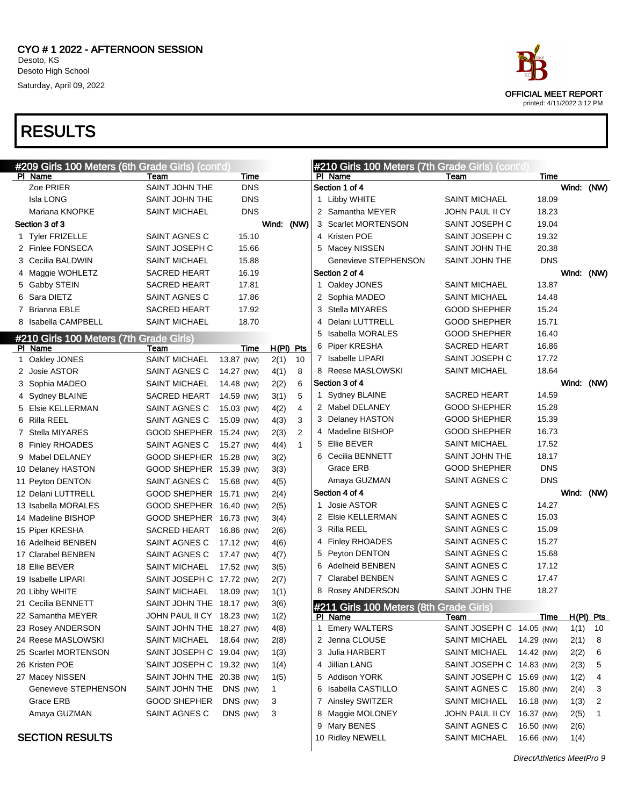

```
DirectAthletics MeetPro 9
```


printed: 4/11/2022 3:12 PM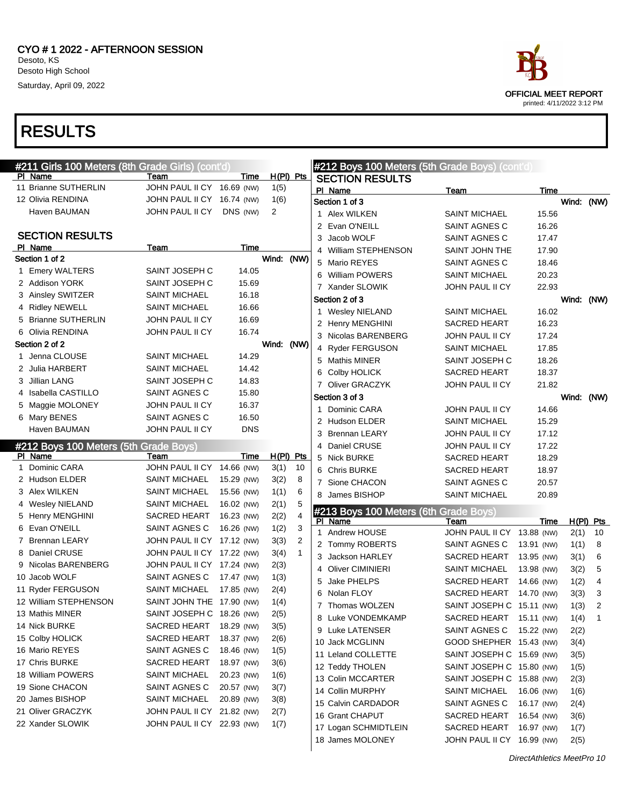SECTION RESULTS

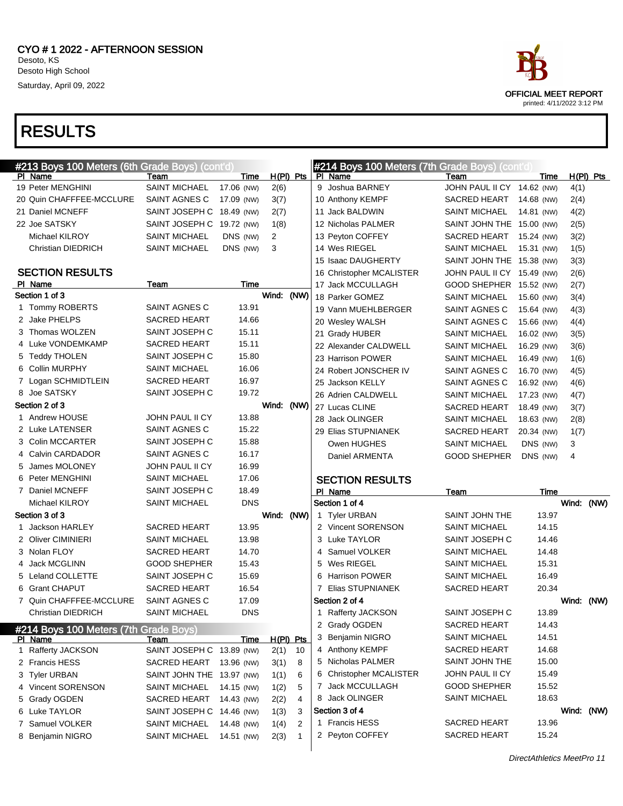

OFFICIAL MEET REPORT printed: 4/11/2022 3:12 PM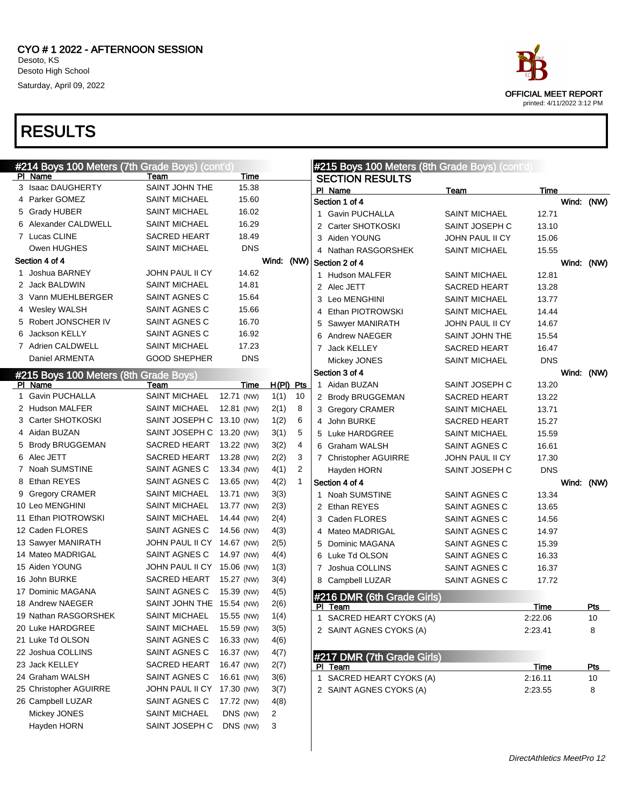



printed: 4/11/2022 3:12 PM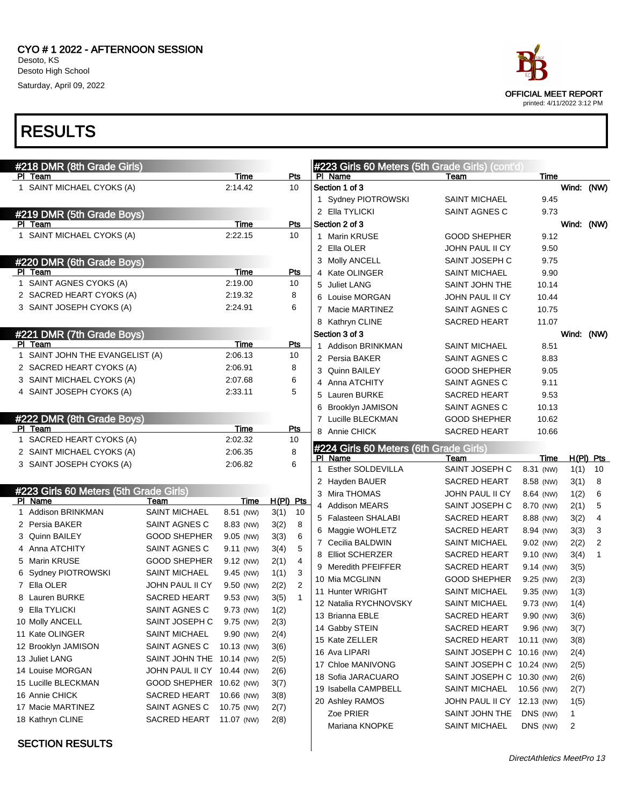

PI Team

|                                        |                            |            |             |                |                                        |                                                         | printed: 4/11/2022 3:12 PM |            |                   |
|----------------------------------------|----------------------------|------------|-------------|----------------|----------------------------------------|---------------------------------------------------------|----------------------------|------------|-------------------|
| <b>RESULTS</b>                         |                            |            |             |                |                                        |                                                         |                            |            |                   |
|                                        |                            |            |             |                |                                        |                                                         |                            |            |                   |
| #218 DMR (8th Grade Girls)<br>PI Team  |                            | Time       | Pts         |                | PI Name                                | #223 Girls 60 Meters (5th Grade Girls) (cont'd)<br>Team | Time                       |            |                   |
| 1 SAINT MICHAEL CYOKS (A)              |                            | 2:14.42    | 10          |                | Section 1 of 3                         |                                                         |                            | Wind:      | (NW)              |
|                                        |                            |            |             |                | 1 Sydney PIOTROWSKI                    | <b>SAINT MICHAEL</b>                                    | 9.45                       |            |                   |
|                                        |                            |            |             |                | 2 Ella TYLICKI                         | SAINT AGNES C                                           | 9.73                       |            |                   |
| #219 DMR (5th Grade Boys)<br>PI Team   |                            | Time       | Pts         |                | Section 2 of 3                         |                                                         |                            | Wind:      | (NW)              |
| 1 SAINT MICHAEL CYOKS (A)              |                            | 2:22.15    | 10          |                | 1 Marin KRUSE                          | <b>GOOD SHEPHER</b>                                     | 9.12                       |            |                   |
|                                        |                            |            |             |                | 2 Ella OLER                            | JOHN PAUL II CY                                         | 9.50                       |            |                   |
| #220 DMR (6th Grade Boys)              |                            |            |             |                | 3 Molly ANCELL                         | SAINT JOSEPH C                                          | 9.75                       |            |                   |
| PI Team                                |                            | Time       | Pts         |                | 4 Kate OLINGER                         | <b>SAINT MICHAEL</b>                                    | 9.90                       |            |                   |
| 1 SAINT AGNES CYOKS (A)                |                            | 2:19.00    | 10          |                | 5 Juliet LANG                          | SAINT JOHN THE                                          | 10.14                      |            |                   |
| 2 SACRED HEART CYOKS (A)               |                            | 2:19.32    | 8           |                | 6 Louise MORGAN                        | JOHN PAUL II CY                                         | 10.44                      |            |                   |
| 3 SAINT JOSEPH CYOKS (A)               |                            | 2:24.91    | 6           |                | 7 Macie MARTINEZ                       | SAINT AGNES C                                           | 10.75                      |            |                   |
|                                        |                            |            |             |                | 8 Kathryn CLINE                        | SACRED HEART                                            | 11.07                      |            |                   |
| #221 DMR (7th Grade Boys)              |                            |            |             |                | Section 3 of 3                         |                                                         |                            | Wind: (NW) |                   |
| PI Team                                |                            | Time       | Pts         |                | 1 Addison BRINKMAN                     | <b>SAINT MICHAEL</b>                                    | 8.51                       |            |                   |
| 1 SAINT JOHN THE EVANGELIST (A)        |                            | 2:06.13    | 10          |                | 2 Persia BAKER                         | SAINT AGNES C                                           | 8.83                       |            |                   |
| 2 SACRED HEART CYOKS (A)               |                            | 2:06.91    | 8           |                | 3 Quinn BAILEY                         | <b>GOOD SHEPHER</b>                                     | 9.05                       |            |                   |
| 3 SAINT MICHAEL CYOKS (A)              |                            | 2:07.68    | 6           |                | Anna ATCHITY<br>4                      | SAINT AGNES C                                           | 9.11                       |            |                   |
| 4 SAINT JOSEPH CYOKS (A)               |                            | 2:33.11    | 5           |                | 5 Lauren BURKE                         | SACRED HEART                                            | 9.53                       |            |                   |
|                                        |                            |            |             |                | 6 Brooklyn JAMISON                     | SAINT AGNES C                                           | 10.13                      |            |                   |
| #222 DMR (8th Grade Boys)              |                            |            |             |                | 7 Lucille BLECKMAN                     | <b>GOOD SHEPHER</b>                                     | 10.62                      |            |                   |
| PI Team                                |                            | Time       | <b>Pts</b>  |                | 8 Annie CHICK                          | <b>SACRED HEART</b>                                     | 10.66                      |            |                   |
| 1 SACRED HEART CYOKS (A)               |                            | 2:02.32    | 10          |                |                                        |                                                         |                            |            |                   |
| 2 SAINT MICHAEL CYOKS (A)              |                            | 2:06.35    | 8           |                | #224 Girls 60 Meters (6th Grade Girls) |                                                         |                            |            |                   |
| 3 SAINT JOSEPH CYOKS (A)               |                            | 2:06.82    | 6           |                | PI Name<br>1 Esther SOLDEVILLA         | Team<br>SAINT JOSEPH C                                  | Time<br>8.31 (NW)          | 1(1)       | $H(PI)$ Pts<br>10 |
|                                        |                            |            |             |                |                                        |                                                         |                            |            |                   |
| #223 Girls 60 Meters (5th Grade Girls) |                            |            |             |                | 2 Hayden BAUER<br>3 Mira THOMAS        | SACRED HEART                                            | 8.58 (NW)                  | 3(1)       | 8                 |
| PI Name                                | Team                       | Time       | $H(PI)$ Pts |                | 4 Addison MEARS                        | JOHN PAUL II CY<br>SAINT JOSEPH C                       | 8.64 (NW)                  | 1(2)       | 6                 |
| 1 Addison BRINKMAN                     | <b>SAINT MICHAEL</b>       | 8.51 (NW)  | 3(1)        | 10             |                                        |                                                         | 8.70 (NW)                  | 2(1)       | 5                 |
| 2 Persia BAKER                         | <b>SAINT AGNES C</b>       | 8.83 (NW)  | 3(2)        | 8              | 5 Falasteen SHALABI                    | SACRED HEART                                            | 8.88 (NW)                  | 3(2)       | 4                 |
| 3 Quinn BAILEY                         | <b>GOOD SHEPHER</b>        | 9.05 (NW)  | 3(3)        | 6              | 6 Maggie WOHLETZ                       | SACRED HEART                                            | 8.94 (NW)                  | 3(3)       | 3                 |
| 4 Anna ATCHITY                         | SAINT AGNES C              | 9.11 (NW)  | 3(4)        | 5              | 7 Cecilia BALDWIN                      | <b>SAINT MICHAEL</b>                                    | 9.02 (NW)                  | 2(2)       | $\overline{2}$    |
| 5 Marin KRUSE                          | <b>GOOD SHEPHER</b>        | 9.12 (NW)  | 2(1)        | 4              | 8<br><b>Elliot SCHERZER</b>            | SACRED HEART                                            | 9.10 (NW)                  | 3(4)       |                   |
| 6 Sydney PIOTROWSKI                    | <b>SAINT MICHAEL</b>       | 9.45 (NW)  | 1(1)        | 3              | 9 Meredith PFEIFFER                    | SACRED HEART                                            | 9.14 (NW)                  | 3(5)       |                   |
| 7 Ella OLER                            | JOHN PAUL II CY            | 9.50 (NW)  | 2(2)        | $\overline{c}$ | 10 Mia MCGLINN                         | <b>GOOD SHEPHER</b>                                     | 9.25 (NW)                  | 2(3)       |                   |
| 8 Lauren BURKE                         | SACRED HEART               | 9.53 (NW)  | 3(5)        | $\mathbf{1}$   | 11 Hunter WRIGHT                       | SAINT MICHAEL                                           | 9.35 (NW)                  | 1(3)       |                   |
| 9 Ella TYLICKI                         | SAINT AGNES C              | 9.73 (NW)  | 1(2)        |                | 12 Natalia RYCHNOVSKY                  | <b>SAINT MICHAEL</b>                                    | 9.73 (NW)                  | 1(4)       |                   |
| 10 Molly ANCELL                        | SAINT JOSEPH C             | 9.75 (NW)  | 2(3)        |                | 13 Brianna EBLE                        | SACRED HEART                                            | 9.90 (NW)                  | 3(6)       |                   |
| 11 Kate OLINGER                        | <b>SAINT MICHAEL</b>       | 9.90 (NW)  | 2(4)        |                | 14 Gabby STEIN                         | SACRED HEART                                            | 9.96 (NW)                  | 3(7)       |                   |
| 12 Brooklyn JAMISON                    | SAINT AGNES C              | 10.13 (NW) | 3(6)        |                | 15 Kate ZELLER                         | SACRED HEART                                            | 10.11 (NW)                 | 3(8)       |                   |
| 13 Juliet LANG                         | SAINT JOHN THE 10.14 (NW)  |            | 2(5)        |                | 16 Ava LIPARI                          | SAINT JOSEPH C 10.16 (NW)                               |                            | 2(4)       |                   |
| 14 Louise MORGAN                       | JOHN PAUL II CY 10.44 (NW) |            | 2(6)        |                | 17 Chloe MANIVONG                      | SAINT JOSEPH C 10.24 (NW)                               |                            | 2(5)       |                   |
| 15 Lucille BLECKMAN                    | GOOD SHEPHER 10.62 (NW)    |            | 3(7)        |                | 18 Sofia JARACUARO                     | SAINT JOSEPH C 10.30 (NW)                               |                            | 2(6)       |                   |
| 16 Annie CHICK                         | SACRED HEART               | 10.66 (NW) | 3(8)        |                | 19 Isabella CAMPBELL                   | <b>SAINT MICHAEL</b>                                    | 10.56 (NW)                 | 2(7)       |                   |
| 17 Macie MARTINEZ                      | SAINT AGNES C              | 10.75 (NW) | 2(7)        |                | 20 Ashley RAMOS                        | JOHN PAUL II CY 12.13 (NW)                              |                            | 1(5)       |                   |
|                                        |                            |            |             |                | Zoe PRIER                              | SAINT JOHN THE DNS (NW)                                 |                            | 1          |                   |





Mariana KNOPKE SAINT MICHAEL DNS (NW) 2



|  | #221 DMR (7th Grade Boys)       |         |     |  |  |  |  |  |
|--|---------------------------------|---------|-----|--|--|--|--|--|
|  | Team                            | Time    | Pts |  |  |  |  |  |
|  | 1 SAINT JOHN THE EVANGELIST (A) | 2:06.13 | 10  |  |  |  |  |  |
|  | 2 SACRED HEART CYOKS (A)        | 2:06.91 | 8   |  |  |  |  |  |
|  | 3 SAINT MICHAEL CYOKS (A)       | 2:07.68 | 6   |  |  |  |  |  |
|  | 4 SAINT JOSEPH CYOKS (A)        | 2:33.11 | 5   |  |  |  |  |  |

| #222 DMR (8th Grade Boys) |                           |         |     |  |  |
|---------------------------|---------------------------|---------|-----|--|--|
| <b>PI</b>                 | Team                      | Time    | Pts |  |  |
|                           | 1 SACRED HEART CYOKS (A)  | 2:02.32 | 10  |  |  |
|                           | 2 SAINT MICHAEL CYOKS (A) | 2:06.35 |     |  |  |
|                           | 3 SAINT JOSEPH CYOKS (A)  | 2:06.82 |     |  |  |

|    | #223 Girls 60 Meters (5th Grade Girls) |                       |            |       |     |
|----|----------------------------------------|-----------------------|------------|-------|-----|
| PI | Name                                   | Team                  | Time       | H(PI) | Pts |
| 1  | Addison BRINKMAN                       | <b>SAINT MICHAEL</b>  | 8.51 (NW)  | 3(1)  | 10  |
| 2  | Persia BAKER                           | <b>SAINT AGNES C</b>  | 8.83 (NW)  | 3(2)  | 8   |
| 3  | Quinn BAILEY                           | <b>GOOD SHEPHER</b>   | 9.05 (NW)  | 3(3)  | 6   |
| 4  | Anna ATCHITY                           | SAINT AGNES C         | 9.11 (NW)  | 3(4)  | 5   |
| 5  | Marin KRUSE                            | <b>GOOD SHEPHER</b>   | 9.12 (NW)  | 2(1)  | 4   |
| 6  | <b>Sydney PIOTROWSKI</b>               | <b>SAINT MICHAEL</b>  | 9.45 (NW)  | 1(1)  | 3   |
| 7  | Ella OLER                              | JOHN PAUL II CY       | 9.50 (NW)  | 2(2)  | 2   |
| 8  | <b>Lauren BURKE</b>                    | SACRED HEART          | 9.53 (NW)  | 3(5)  | 1   |
| 9  | Ella TYLICKI                           | SAINT AGNES C         | 9.73 (NW)  | 1(2)  |     |
| 10 | Molly ANCELL                           | SAINT JOSEPH C        | 9.75 (NW)  | 2(3)  |     |
|    | 11 Kate OLINGER                        | SAINT MICHAEL         | 9.90 (NW)  | 2(4)  |     |
|    | 12 Brooklyn JAMISON                    | SAINT AGNES C         | 10.13 (NW) | 3(6)  |     |
|    | 13 Juliet LANG                         | <b>SAINT JOHN THE</b> | 10.14 (NW) | 2(5)  |     |
|    | 14 Louise MORGAN                       | JOHN PAUL II CY       | 10.44 (NW) | 2(6)  |     |
|    | 15 Lucille BLECKMAN                    | <b>GOOD SHEPHER</b>   | 10.62 (NW) | 3(7)  |     |
|    | 16 Annie CHICK                         | SACRED HEART          | 10.66 (NW) | 3(8)  |     |
|    | 17 Macie MARTINEZ                      | SAINT AGNES C         | 10.75 (NW) | 2(7)  |     |
|    | 18 Kathryn CLINE                       | SACRED HEART          | 11.07 (NW) | 2(8)  |     |
|    |                                        |                       |            |       |     |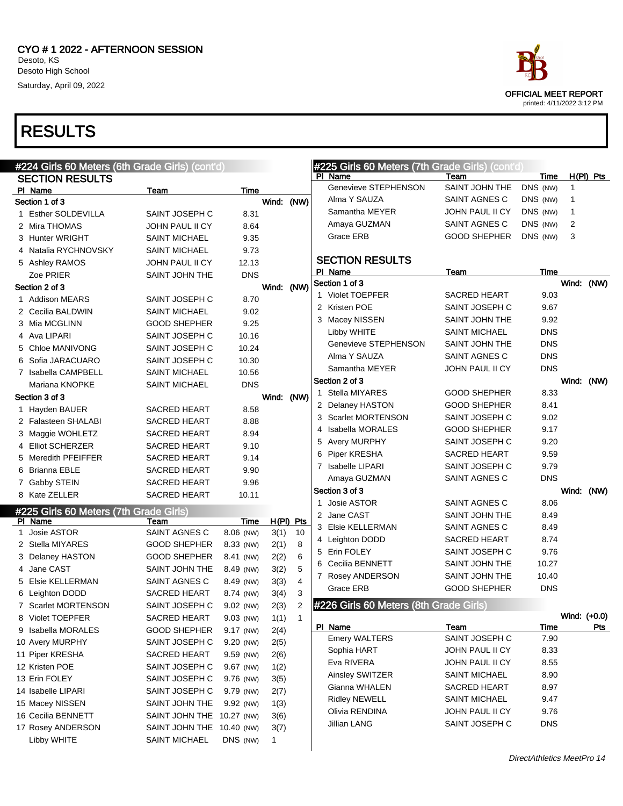

```
OFFICIAL MEET REPORT
printed: 4/11/2022 3:12 PM
```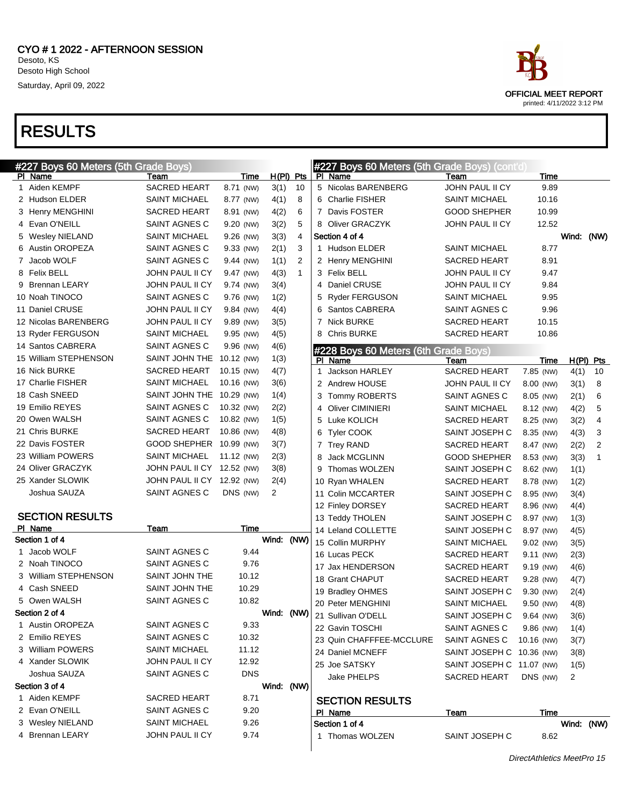|   | #227 Boys 60 Meters (5th Grade Boys) |                            |            |             |              |              | <b>#227 Boys 60 Meters (5th Grade Boys) (cont'd)</b> |                           |            |       |      |                |
|---|--------------------------------------|----------------------------|------------|-------------|--------------|--------------|------------------------------------------------------|---------------------------|------------|-------|------|----------------|
|   | PI Name                              | Team                       | Time       | $H(PI)$ Pts |              |              | PI Name                                              | Team                      |            | Time  |      |                |
| 1 | Aiden KEMPF                          | <b>SACRED HEART</b>        | 8.71 (NW)  | 3(1)        | 10           |              | 5 Nicolas BARENBERG                                  | JOHN PAUL II CY           |            | 9.89  |      |                |
|   | 2 Hudson ELDER                       | <b>SAINT MICHAEL</b>       | 8.77 (NW)  | 4(1)        | 8            |              | 6 Charlie FISHER                                     | <b>SAINT MICHAEL</b>      |            | 10.16 |      |                |
|   | 3 Henry MENGHINI                     | <b>SACRED HEART</b>        | 8.91 (NW)  | 4(2)        | 6            |              | 7 Davis FOSTER                                       | <b>GOOD SHEPHER</b>       |            | 10.99 |      |                |
|   | 4 Evan O'NEILL                       | SAINT AGNES C              | 9.20 (NW)  | 3(2)        | 5            |              | 8 Oliver GRACZYK                                     | JOHN PAUL II CY           |            | 12.52 |      |                |
|   | 5 Wesley NIELAND                     | <b>SAINT MICHAEL</b>       | 9.26 (NW)  | 3(3)        | 4            |              | Section 4 of 4                                       |                           |            |       |      | Wind: (NW)     |
|   | 6 Austin OROPEZA                     | SAINT AGNES C              | 9.33 (NW)  | 2(1)        | 3            |              | 1 Hudson ELDER                                       | <b>SAINT MICHAEL</b>      |            | 8.77  |      |                |
|   | 7 Jacob WOLF                         | SAINT AGNES C              | 9.44 (NW)  | 1(1)        | 2            |              | 2 Henry MENGHINI                                     | <b>SACRED HEART</b>       |            | 8.91  |      |                |
|   | 8 Felix BELL                         | JOHN PAUL II CY            | 9.47 (NW)  | 4(3)        | $\mathbf{1}$ |              | 3 Felix BELL                                         | <b>JOHN PAUL II CY</b>    |            | 9.47  |      |                |
|   | 9 Brennan LEARY                      | JOHN PAUL II CY            | 9.74 (NW)  | 3(4)        |              |              | 4 Daniel CRUSE                                       | JOHN PAUL II CY           |            | 9.84  |      |                |
|   | 10 Noah TINOCO                       | SAINT AGNES C              | 9.76 (NW)  | 1(2)        |              |              | 5 Ryder FERGUSON                                     | <b>SAINT MICHAEL</b>      |            | 9.95  |      |                |
|   | 11 Daniel CRUSE                      | JOHN PAUL II CY            | 9.84 (NW)  | 4(4)        |              |              | 6 Santos CABRERA                                     | SAINT AGNES C             |            | 9.96  |      |                |
|   | 12 Nicolas BARENBERG                 | JOHN PAUL II CY            | 9.89 (NW)  | 3(5)        |              |              | 7 Nick BURKE                                         | <b>SACRED HEART</b>       |            | 10.15 |      |                |
|   | 13 Ryder FERGUSON                    | <b>SAINT MICHAEL</b>       | 9.95 (NW)  | 4(5)        |              |              | 8 Chris BURKE                                        | SACRED HEART              |            | 10.86 |      |                |
|   | 14 Santos CABRERA                    | SAINT AGNES C              | 9.96 (NW)  | 4(6)        |              |              | #228 Boys 60 Meters (6th Grade Boys)                 |                           |            |       |      |                |
|   | 15 William STEPHENSON                | SAINT JOHN THE             | 10.12 (NW) | 1(3)        |              |              | PI Name                                              | Team                      |            | Time  |      | H(PI) Pts      |
|   | 16 Nick BURKE                        | <b>SACRED HEART</b>        | 10.15 (NW) | 4(7)        |              | $\mathbf{1}$ | Jackson HARLEY                                       | SACRED HEART              | 7.85 (NW)  |       | 4(1) | 10             |
|   | 17 Charlie FISHER                    | <b>SAINT MICHAEL</b>       | 10.16 (NW) | 3(6)        |              |              | 2 Andrew HOUSE                                       | JOHN PAUL II CY           | 8.00 (NW)  |       | 3(1) | 8              |
|   | 18 Cash SNEED                        | SAINT JOHN THE             | 10.29 (NW) | 1(4)        |              | 3            | Tommy ROBERTS                                        | SAINT AGNES C             | 8.05 (NW)  |       | 2(1) | 6              |
|   | 19 Emilio REYES                      | SAINT AGNES C              | 10.32 (NW) | 2(2)        |              |              | 4 Oliver CIMINIERI                                   | <b>SAINT MICHAEL</b>      | 8.12 (NW)  |       | 4(2) | 5              |
|   | 20 Owen WALSH                        | SAINT AGNES C              | 10.82 (NW) | 1(5)        |              |              | 5 Luke KOLICH                                        | SACRED HEART              | 8.25 (NW)  |       | 3(2) | 4              |
|   | 21 Chris BURKE                       | <b>SACRED HEART</b>        | 10.86 (NW) | 4(8)        |              |              | 6 Tyler COOK                                         | SAINT JOSEPH C            | 8.35 (NW)  |       | 4(3) | 3              |
|   | 22 Davis FOSTER                      | GOOD SHEPHER 10.99 (NW)    |            | 3(7)        |              |              | 7 Trey RAND                                          | <b>SACRED HEART</b>       | 8.47 (NW)  |       | 2(2) | $\overline{2}$ |
|   | 23 William POWERS                    | <b>SAINT MICHAEL</b>       | 11.12 (NW) | 2(3)        |              | 8            | Jack MCGLINN                                         | <b>GOOD SHEPHER</b>       | 8.53 (NW)  |       | 3(3) | 1              |
|   | 24 Oliver GRACZYK                    | JOHN PAUL II CY 12.52 (NW) |            | 3(8)        |              |              | 9 Thomas WOLZEN                                      | SAINT JOSEPH C            | 8.62 (NW)  |       | 1(1) |                |
|   | 25 Xander SLOWIK                     | JOHN PAUL II CY 12.92 (NW) |            | 2(4)        |              |              | 10 Ryan WHALEN                                       | SACRED HEART              | 8.78 (NW)  |       | 1(2) |                |
|   | Joshua SAUZA                         | SAINT AGNES C              | DNS (NW)   | 2           |              |              | 11 Colin MCCARTER                                    | SAINT JOSEPH C            | 8.95 (NW)  |       | 3(4) |                |
|   |                                      |                            |            |             |              |              | 12 Finley DORSEY                                     | SACRED HEART              | 8.96 (NW)  |       | 4(4) |                |
|   | <b>SECTION RESULTS</b>               |                            |            |             |              |              | 13 Teddy THOLEN                                      | SAINT JOSEPH C            | 8.97 (NW)  |       | 1(3) |                |
|   | PI Name                              | Team                       | Time       |             |              |              | 14 Leland COLLETTE                                   | SAINT JOSEPH C            | 8.97 (NW)  |       |      |                |
|   | Section 1 of 4                       |                            |            | Wind: (NW)  |              |              | 15 Collin MURPHY                                     | <b>SAINT MICHAEL</b>      | 9.02 (NW)  |       | 4(5) |                |
|   | 1 Jacob WOLF                         | SAINT AGNES C              | 9.44       |             |              |              | 16 Lucas PECK                                        |                           |            |       | 3(5) |                |
|   | 2 Noah TINOCO                        | SAINT AGNES C              | 9.76       |             |              |              |                                                      | <b>SACRED HEART</b>       | 9.11 (NW)  |       | 2(3) |                |
|   | 3 William STEPHENSON                 | <b>SAINT JOHN THE</b>      | 10.12      |             |              |              | 17 Jax HENDERSON<br>18 Grant CHAPUT                  | SACRED HEART              | 9.19 (NW)  |       | 4(6) |                |
|   | 4 Cash SNEED                         | SAINT JOHN THE             | 10.29      |             |              |              |                                                      | <b>SACRED HEART</b>       | 9.28 (NW)  |       | 4(7) |                |
|   | 5 Owen WALSH                         | SAINT AGNES C              | 10.82      |             |              |              | 19 Bradley OHMES                                     | SAINT JOSEPH C            | 9.30 (NW)  |       | 2(4) |                |
|   | Section 2 of 4                       |                            |            | Wind: (NW)  |              |              | 20 Peter MENGHINI                                    | <b>SAINT MICHAEL</b>      | 9.50 (NW)  |       | 4(8) |                |
| 1 | Austin OROPEZA                       | SAINT AGNES C              | 9.33       |             |              |              | 21 Sullivan O'DELL                                   | SAINT JOSEPH C            | 9.64 (NW)  |       | 3(6) |                |
|   | 2 Emilio REYES                       | SAINT AGNES C              | 10.32      |             |              |              | 22 Gavin TOSCHI                                      | SAINT AGNES C             | 9.86 (NW)  |       | 1(4) |                |
|   | 3 William POWERS                     | <b>SAINT MICHAEL</b>       | 11.12      |             |              |              | 23 Quin CHAFFFEE-MCCLURE                             | SAINT AGNES C             | 10.16 (NW) |       | 3(7) |                |
|   | 4 Xander SLOWIK                      | JOHN PAUL II CY            | 12.92      |             |              |              | 24 Daniel MCNEFF                                     | SAINT JOSEPH C 10.36 (NW) |            |       | 3(8) |                |
|   | Joshua SAUZA                         | SAINT AGNES C              | <b>DNS</b> |             |              |              | 25 Joe SATSKY                                        | SAINT JOSEPH C 11.07 (NW) |            |       | 1(5) |                |
|   | Section 3 of 4                       |                            |            | Wind: (NW)  |              |              | Jake PHELPS                                          | SACRED HEART              | DNS (NW)   | 2     |      |                |
|   | 1 Aiden KEMPF                        | SACRED HEART               | 8.71       |             |              |              |                                                      |                           |            |       |      |                |
|   | 2 Evan O'NEILL                       | SAINT AGNES C              |            |             |              |              | <b>SECTION RESULTS</b>                               |                           |            |       |      |                |
|   | 3 Wesley NIELAND                     | <b>SAINT MICHAEL</b>       | 9.20       |             |              |              | PI Name                                              | <u>Team</u>               |            | Time  |      |                |
|   | 4 Brennan LEARY                      |                            | 9.26       |             |              |              | Section 1 of 4                                       |                           |            |       |      | Wind: (NW)     |
|   |                                      | JOHN PAUL II CY            | 9.74       |             |              |              | 1 Thomas WOLZEN                                      | SAINT JOSEPH C            |            | 8.62  |      |                |

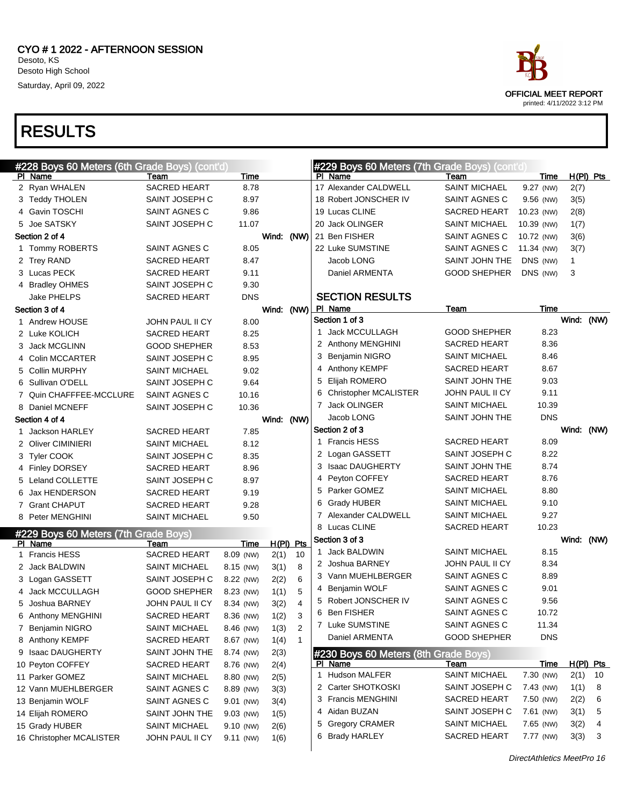

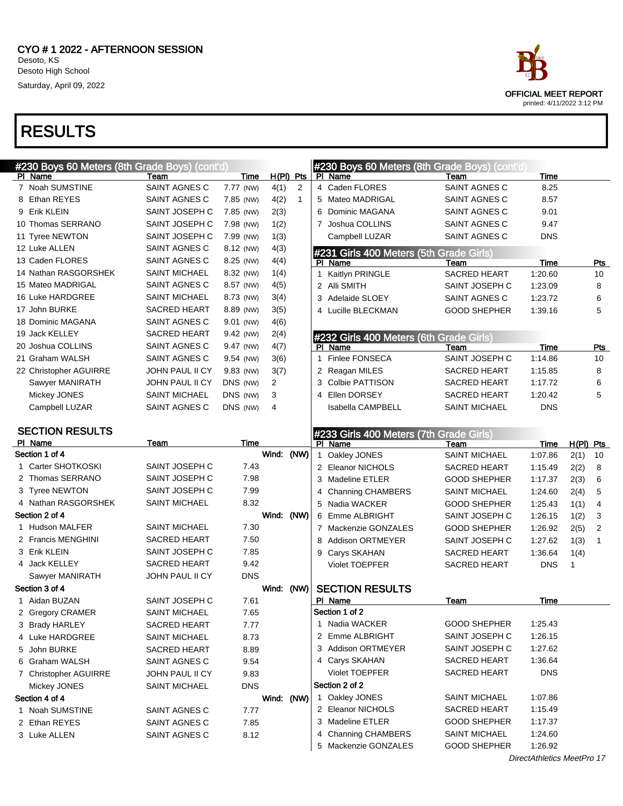



printed: 4/11/2022 3:12 PM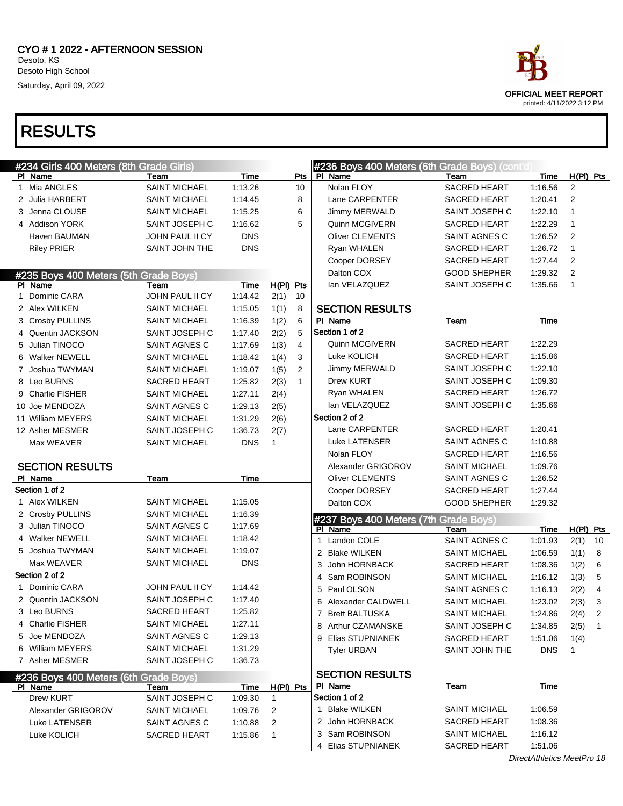

|   | #234 Girls 400 Meters (8th Grade Girls) |                      |            |                        | #236 Boys 400 Meters (6th Grade Boys) (cont'd) |                      |             |                |                |
|---|-----------------------------------------|----------------------|------------|------------------------|------------------------------------------------|----------------------|-------------|----------------|----------------|
|   | PI Name                                 | Team                 | Time       | Pts                    | PI Name                                        | Team                 | <b>Time</b> | $H(PI)$ Pts    |                |
|   | 1 Mia ANGLES                            | <b>SAINT MICHAEL</b> | 1:13.26    | 10                     | Nolan FLOY                                     | <b>SACRED HEART</b>  | 1:16.56     | 2              |                |
|   | 2 Julia HARBERT                         | <b>SAINT MICHAEL</b> | 1:14.45    | 8                      | Lane CARPENTER                                 | <b>SACRED HEART</b>  | 1:20.41     | $\overline{2}$ |                |
|   | 3 Jenna CLOUSE                          | <b>SAINT MICHAEL</b> | 1:15.25    | 6                      | Jimmy MERWALD                                  | SAINT JOSEPH C       | 1:22.10     | 1              |                |
|   | 4 Addison YORK                          | SAINT JOSEPH C       | 1:16.62    | 5                      | Quinn MCGIVERN                                 | <b>SACRED HEART</b>  | 1:22.29     | 1              |                |
|   | Haven BAUMAN                            | JOHN PAUL II CY      | <b>DNS</b> |                        | <b>Oliver CLEMENTS</b>                         | SAINT AGNES C        | 1:26.52     | $\overline{2}$ |                |
|   | <b>Riley PRIER</b>                      | SAINT JOHN THE       | <b>DNS</b> |                        | Ryan WHALEN                                    | <b>SACRED HEART</b>  | 1:26.72     | $\mathbf{1}$   |                |
|   |                                         |                      |            |                        | Cooper DORSEY                                  | <b>SACRED HEART</b>  | 1:27.44     | 2              |                |
|   | #235 Boys 400 Meters (5th Grade Boys)   |                      |            |                        | Dalton COX                                     | <b>GOOD SHEPHER</b>  | 1:29.32     | 2              |                |
|   | PI Name                                 | Team                 | Time       | $H(PI)$ Pts            | lan VELAZQUEZ                                  | SAINT JOSEPH C       | 1:35.66     | $\mathbf{1}$   |                |
| 1 | Dominic CARA                            | JOHN PAUL II CY      | 1:14.42    | 2(1)<br>10             |                                                |                      |             |                |                |
|   | 2 Alex WILKEN                           | <b>SAINT MICHAEL</b> | 1:15.05    | 1(1)<br>8              | <b>SECTION RESULTS</b>                         |                      |             |                |                |
|   | 3 Crosby PULLINS                        | <b>SAINT MICHAEL</b> | 1:16.39    | 1(2)<br>6              | PI Name                                        | Team                 | Time        |                |                |
|   | 4 Quentin JACKSON                       | SAINT JOSEPH C       | 1:17.40    | 2(2)<br>5              | Section 1 of 2                                 |                      |             |                |                |
|   | 5 Julian TINOCO                         | SAINT AGNES C        | 1:17.69    | 1(3)<br>$\overline{4}$ | <b>Quinn MCGIVERN</b>                          | <b>SACRED HEART</b>  | 1:22.29     |                |                |
|   | 6 Walker NEWELL                         | <b>SAINT MICHAEL</b> | 1:18.42    | 1(4)<br>3              | Luke KOLICH                                    | <b>SACRED HEART</b>  | 1:15.86     |                |                |
|   | 7 Joshua TWYMAN                         | <b>SAINT MICHAEL</b> | 1:19.07    | 2<br>1(5)              | Jimmy MERWALD                                  | SAINT JOSEPH C       | 1:22.10     |                |                |
|   | 8 Leo BURNS                             | <b>SACRED HEART</b>  | 1:25.82    | 2(3)<br>$\mathbf{1}$   | Drew KURT                                      | SAINT JOSEPH C       | 1:09.30     |                |                |
|   | 9 Charlie FISHER                        | <b>SAINT MICHAEL</b> | 1:27.11    | 2(4)                   | Ryan WHALEN                                    | SACRED HEART         | 1:26.72     |                |                |
|   | 10 Joe MENDOZA                          | SAINT AGNES C        | 1:29.13    | 2(5)                   | lan VELAZQUEZ                                  | SAINT JOSEPH C       | 1:35.66     |                |                |
|   | 11 William MEYERS                       | <b>SAINT MICHAEL</b> | 1:31.29    | 2(6)                   | Section 2 of 2                                 |                      |             |                |                |
|   | 12 Asher MESMER                         | SAINT JOSEPH C       | 1:36.73    | 2(7)                   | Lane CARPENTER                                 | <b>SACRED HEART</b>  | 1:20.41     |                |                |
|   | Max WEAVER                              | <b>SAINT MICHAEL</b> | <b>DNS</b> | $\mathbf{1}$           | <b>Luke LATENSER</b>                           | SAINT AGNES C        | 1:10.88     |                |                |
|   |                                         |                      |            |                        | Nolan FLOY                                     | <b>SACRED HEART</b>  | 1:16.56     |                |                |
|   | <b>SECTION RESULTS</b>                  |                      |            |                        | Alexander GRIGOROV                             | <b>SAINT MICHAEL</b> | 1:09.76     |                |                |
|   | PI Name                                 | Team                 | Time       |                        | <b>Oliver CLEMENTS</b>                         | SAINT AGNES C        | 1:26.52     |                |                |
|   | Section 1 of 2                          |                      |            |                        | Cooper DORSEY                                  | <b>SACRED HEART</b>  | 1:27.44     |                |                |
|   | 1 Alex WILKEN                           | <b>SAINT MICHAEL</b> | 1:15.05    |                        | Dalton COX                                     | <b>GOOD SHEPHER</b>  | 1:29.32     |                |                |
|   | 2 Crosby PULLINS                        | <b>SAINT MICHAEL</b> | 1:16.39    |                        | #237 Boys 400 Meters (7th Grade Boys)          |                      |             |                |                |
|   | 3 Julian TINOCO                         | SAINT AGNES C        | 1:17.69    |                        | PI Name                                        | Team                 | Time        | $H(PI)$ Pts    |                |
|   | 4 Walker NEWELL                         | <b>SAINT MICHAEL</b> | 1:18.42    |                        | 1 Landon COLE                                  | SAINT AGNES C        | 1:01.93     | 2(1)           | 10             |
|   | 5 Joshua TWYMAN                         | <b>SAINT MICHAEL</b> | 1:19.07    |                        | 2 Blake WILKEN                                 | <b>SAINT MICHAEL</b> | 1:06.59     | 1(1)           | 8              |
|   | Max WEAVER                              | <b>SAINT MICHAEL</b> | <b>DNS</b> |                        | John HORNBACK<br>3                             | <b>SACRED HEART</b>  | 1:08.36     | 1(2)           | 6              |
|   | Section 2 of 2                          |                      |            |                        | Sam ROBINSON<br>4                              | <b>SAINT MICHAEL</b> | 1:16.12     | 1(3)           | 5              |
|   | 1 Dominic CARA                          | JOHN PAUL II CY      | 1:14.42    |                        | 5 Paul OLSON                                   | SAINT AGNES C        | 1:16.13     | 2(2)           | 4              |
|   | 2 Quentin JACKSON                       | SAINT JOSEPH C       | 1:17.40    |                        | 6 Alexander CALDWELL                           | <b>SAINT MICHAEL</b> | 1:23.02     | 2(3)           | 3              |
|   | 3 Leo BURNS                             | <b>SACRED HEART</b>  | 1:25.82    |                        | 7 Brett BALTUSKA                               | SAINT MICHAEL        | 1:24.86     | $2(4)$ 2       |                |
|   | 4 Charlie FISHER                        | <b>SAINT MICHAEL</b> | 1:27.11    |                        | 8 Arthur CZAMANSKE                             | SAINT JOSEPH C       | 1:34.85     | 2(5)           | $\overline{1}$ |
|   | 5 Joe MENDOZA                           | SAINT AGNES C        | 1:29.13    |                        | 9 Elias STUPNIANEK                             | <b>SACRED HEART</b>  | 1:51.06     | 1(4)           |                |
|   | 6 William MEYERS                        | <b>SAINT MICHAEL</b> | 1:31.29    |                        | <b>Tyler URBAN</b>                             | SAINT JOHN THE       | <b>DNS</b>  | $\mathbf{1}$   |                |
|   | 7 Asher MESMER                          | SAINT JOSEPH C       | 1:36.73    |                        |                                                |                      |             |                |                |
|   | #236 Boys 400 Meters (6th Grade Boys)   |                      |            |                        | <b>SECTION RESULTS</b>                         |                      |             |                |                |
|   | PI Name                                 | Team                 | Time       | $H(PI)$ Pts            | PI Name                                        | Team                 | Time        |                |                |
|   | Drew KURT                               | SAINT JOSEPH C       | 1:09.30    | $\mathbf{1}$           | Section 1 of 2                                 |                      |             |                |                |
|   | Alexander GRIGOROV                      | <b>SAINT MICHAEL</b> | 1:09.76    | 2                      | 1 Blake WILKEN                                 | <b>SAINT MICHAEL</b> | 1:06.59     |                |                |
|   | Luke LATENSER                           | SAINT AGNES C        | 1:10.88    | 2                      | 2 John HORNBACK                                | <b>SACRED HEART</b>  | 1:08.36     |                |                |
|   | Luke KOLICH                             | SACRED HEART         | 1:15.86    | $\mathbf 1$            | 3 Sam ROBINSON                                 | <b>SAINT MICHAEL</b> | 1:16.12     |                |                |
|   |                                         |                      |            |                        | 4 Elias STUPNIANEK                             | SACRED HEART         | 1:51.06     |                |                |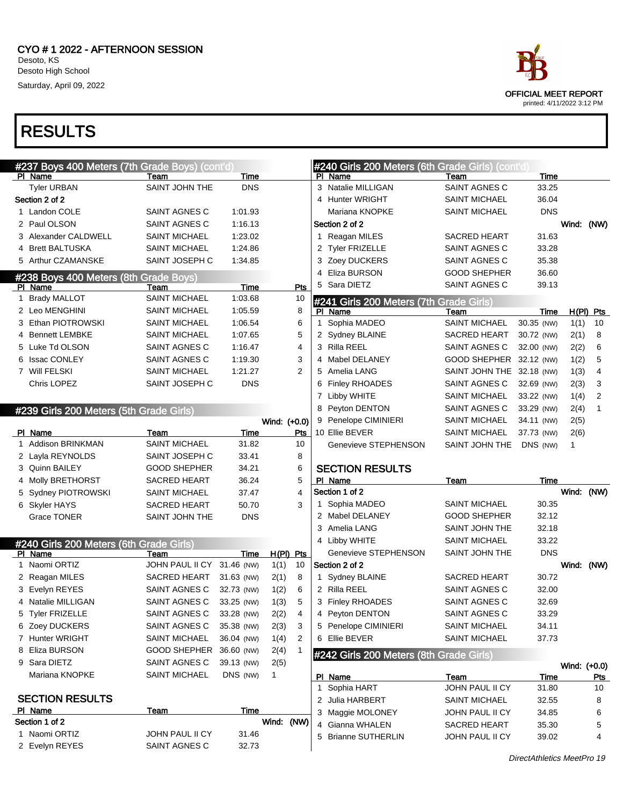# OFFICIAL MEET REPORT printed: 4/11/2022 3:12 PM

|   | #237 Boys 400 Meters (7th Grade Boys) (cont'd) |                                  |                |              |     |              | #240 Girls 200 Meters (6th Grade Girls) (cont'd) |                           |            |              |              |
|---|------------------------------------------------|----------------------------------|----------------|--------------|-----|--------------|--------------------------------------------------|---------------------------|------------|--------------|--------------|
|   | PI Name                                        | Team                             | Time           |              |     |              | PI Name                                          | Team                      | Time       |              |              |
|   | <b>Tyler URBAN</b>                             | SAINT JOHN THE                   | <b>DNS</b>     |              |     |              | 3 Natalie MILLIGAN                               | <b>SAINT AGNES C</b>      | 33.25      |              |              |
|   | Section 2 of 2                                 |                                  |                |              |     |              | 4 Hunter WRIGHT                                  | <b>SAINT MICHAEL</b>      | 36.04      |              |              |
|   | 1 Landon COLE                                  | SAINT AGNES C                    | 1:01.93        |              |     |              | Mariana KNOPKE                                   | <b>SAINT MICHAEL</b>      | <b>DNS</b> |              |              |
|   | 2 Paul OLSON                                   | SAINT AGNES C                    | 1:16.13        |              |     |              | Section 2 of 2                                   |                           |            | Wind: (NW)   |              |
|   | 3 Alexander CALDWELL                           | SAINT MICHAEL                    | 1:23.02        |              |     |              | 1 Reagan MILES                                   | <b>SACRED HEART</b>       | 31.63      |              |              |
|   | 4 Brett BALTUSKA                               | <b>SAINT MICHAEL</b>             | 1:24.86        |              |     |              | 2 Tyler FRIZELLE                                 | SAINT AGNES C             | 33.28      |              |              |
|   | 5 Arthur CZAMANSKE                             | SAINT JOSEPH C                   | 1:34.85        |              |     |              | 3 Zoey DUCKERS                                   | SAINT AGNES C             | 35.38      |              |              |
|   | #238 Boys 400 Meters (8th Grade Boys)          |                                  |                |              |     |              | 4 Eliza BURSON                                   | <b>GOOD SHEPHER</b>       | 36.60      |              |              |
|   | PI Name                                        | Team                             | Time           |              | Pts | 5            | Sara DIETZ                                       | SAINT AGNES C             | 39.13      |              |              |
|   | 1 Brady MALLOT                                 | <b>SAINT MICHAEL</b>             | 1:03.68        |              | 10  |              | #241 Girls 200 Meters (7th Grade Girls)          |                           |            |              |              |
|   | 2 Leo MENGHINI                                 | SAINT MICHAEL                    | 1:05.59        |              | 8   |              | PI Name                                          | Team                      | Time       |              | $H(PI)$ Pts  |
|   | 3 Ethan PIOTROWSKI                             | SAINT MICHAEL                    | 1:06.54        |              | 6   |              | 1 Sophia MADEO                                   | <b>SAINT MICHAEL</b>      | 30.35 (NW) | 1(1)         | 10           |
|   | 4 Bennett LEMBKE                               | SAINT MICHAEL                    | 1:07.65        |              | 5   |              | 2 Sydney BLAINE                                  | SACRED HEART              | 30.72 (NW) | 2(1)         | 8            |
|   | 5 Luke Td OLSON                                | SAINT AGNES C                    | 1:16.47        |              | 4   |              | 3 Rilla REEL                                     | SAINT AGNES C             | 32.00 (NW) | 2(2)         | 6            |
|   | 6 Issac CONLEY                                 | SAINT AGNES C                    | 1:19.30        |              | 3   |              | 4 Mabel DELANEY                                  | GOOD SHEPHER 32.12 (NW)   |            | 1(2)         | 5            |
|   | 7 Will FELSKI                                  | SAINT MICHAEL                    | 1:21.27        |              | 2   |              | 5 Amelia LANG                                    | SAINT JOHN THE 32.18 (NW) |            | 1(3)         | 4            |
|   | Chris LOPEZ                                    | SAINT JOSEPH C                   | <b>DNS</b>     |              |     |              | 6 Finley RHOADES                                 | SAINT AGNES C             | 32.69 (NW) | 2(3)         | 3            |
|   |                                                |                                  |                |              |     |              | 7 Libby WHITE                                    | <b>SAINT MICHAEL</b>      | 33.22 (NW) | 1(4)         | 2            |
|   | #239 Girls 200 Meters (5th Grade Girls)        |                                  |                |              |     |              | 8 Peyton DENTON                                  | SAINT AGNES C             | 33.29 (NW) | 2(4)         | $\mathbf{1}$ |
|   |                                                |                                  |                | Wind: (+0.0) |     |              | 9 Penelope CIMINIERI                             | <b>SAINT MICHAEL</b>      | 34.11 (NW) | 2(5)         |              |
|   | PI Name                                        | Team                             | Time           |              | Pts |              | 10 Ellie BEVER                                   | <b>SAINT MICHAEL</b>      | 37.73 (NW) | 2(6)         |              |
|   | Addison BRINKMAN                               | <b>SAINT MICHAEL</b>             | 31.82          |              | 10  |              | Genevieve STEPHENSON                             | SAINT JOHN THE            | DNS (NW)   | $\mathbf{1}$ |              |
|   | 2 Layla REYNOLDS                               | SAINT JOSEPH C                   | 33.41          |              | 8   |              |                                                  |                           |            |              |              |
|   | 3 Quinn BAILEY                                 | <b>GOOD SHEPHER</b>              | 34.21          |              | 6   |              | <b>SECTION RESULTS</b>                           |                           |            |              |              |
|   |                                                |                                  |                |              |     |              |                                                  |                           |            |              |              |
|   | 4 Molly BRETHORST                              | <b>SACRED HEART</b>              | 36.24          |              | 5   |              | PI Name                                          | Team                      | Time       |              |              |
|   | 5 Sydney PIOTROWSKI                            | SAINT MICHAEL                    | 37.47          |              | 4   |              | Section 1 of 2                                   |                           |            | Wind: (NW)   |              |
|   | 6 Skyler HAYS                                  | <b>SACRED HEART</b>              | 50.70          |              | 3   |              | 1 Sophia MADEO                                   | <b>SAINT MICHAEL</b>      | 30.35      |              |              |
|   | <b>Grace TONER</b>                             | SAINT JOHN THE                   | <b>DNS</b>     |              |     |              | 2 Mabel DELANEY                                  | <b>GOOD SHEPHER</b>       | 32.12      |              |              |
|   |                                                |                                  |                |              |     |              | 3 Amelia LANG                                    | SAINT JOHN THE            | 32.18      |              |              |
|   | #240 Girls 200 Meters (6th Grade Girls)        |                                  |                |              |     |              | 4 Libby WHITE                                    | <b>SAINT MICHAEL</b>      | 33.22      |              |              |
|   | PI Name                                        | Team                             | Time           | H(PI) Pts    |     |              | Genevieve STEPHENSON                             | SAINT JOHN THE            | <b>DNS</b> |              |              |
| 1 | Naomi ORTIZ                                    | JOHN PAUL II CY 31.46 (NW)       |                | 1(1)         | 10  |              | Section 2 of 2                                   |                           |            | Wind: (NW)   |              |
|   | 2 Reagan MILES                                 | SACRED HEART                     | 31.63 (NW)     | 2(1)         | 8   |              | 1 Sydney BLAINE                                  | SACRED HEART              | 30.72      |              |              |
|   | 3 Evelyn REYES                                 | SAINT AGNES C                    | 32.73 (NW)     | 1(2)         | 6   |              | 2 Rilla REEL                                     | SAINT AGNES C             | 32.00      |              |              |
|   | 4 Natalie MILLIGAN                             | SAINT AGNES C                    | 33.25 (NW)     | 1(3)         | 5   |              | 3 Finley RHOADES                                 | SAINT AGNES C             | 32.69      |              |              |
|   | 5 Tyler FRIZELLE                               | SAINT AGNES C 33.28 (NW)         |                | 2(2)         | 4   |              | 4 Peyton DENTON                                  | SAINT AGNES C             | 33.29      |              |              |
|   | 6 Zoey DUCKERS                                 | SAINT AGNES C                    | 35.38 (NW)     | 2(3)         | 3   |              | 5 Penelope CIMINIERI                             | <b>SAINT MICHAEL</b>      | 34.11      |              |              |
|   | 7 Hunter WRIGHT                                | SAINT MICHAEL                    | 36.04 (NW)     | 1(4)         | 2   |              | 6 Ellie BEVER                                    | <b>SAINT MICHAEL</b>      | 37.73      |              |              |
|   | 8 Eliza BURSON                                 | GOOD SHEPHER 36.60 (NW)          |                | 2(4)         | 1   |              |                                                  |                           |            |              |              |
|   | 9 Sara DIETZ                                   | SAINT AGNES C                    | 39.13 (NW)     | 2(5)         |     |              | #242 Girls 200 Meters (8th Grade Girls)          |                           |            | Wind: (+0.0) |              |
|   | Mariana KNOPKE                                 | SAINT MICHAEL                    | DNS (NW)       | $\mathbf{1}$ |     |              | PI Name                                          | Team                      | Time       |              | <u>Pts</u>   |
|   |                                                |                                  |                |              |     | $\mathbf{1}$ | Sophia HART                                      | JOHN PAUL II CY           | 31.80      |              | 10           |
|   | <b>SECTION RESULTS</b>                         |                                  |                |              |     |              | 2 Julia HARBERT                                  | <b>SAINT MICHAEL</b>      | 32.55      |              | 8            |
|   | PI Name                                        | Team                             | Time           |              |     |              | 3 Maggie MOLONEY                                 | JOHN PAUL II CY           | 34.85      |              | 6            |
|   | Section 1 of 2                                 |                                  |                | Wind: (NW)   |     |              | 4 Gianna WHALEN                                  | <b>SACRED HEART</b>       | 35.30      |              | 5            |
|   | 1 Naomi ORTIZ<br>2 Evelyn REYES                | JOHN PAUL II CY<br>SAINT AGNES C | 31.46<br>32.73 |              |     | 5            | <b>Brianne SUTHERLIN</b>                         | JOHN PAUL II CY           | 39.02      |              | 4            |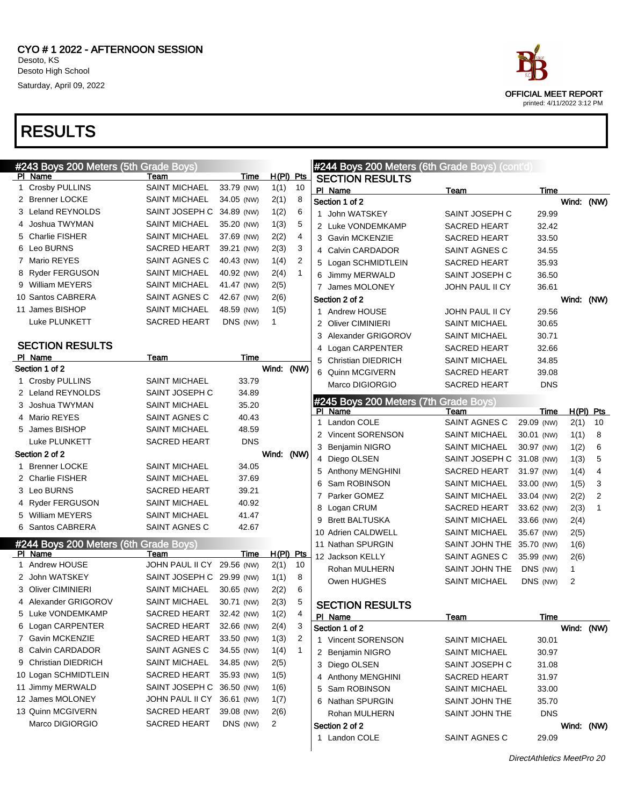

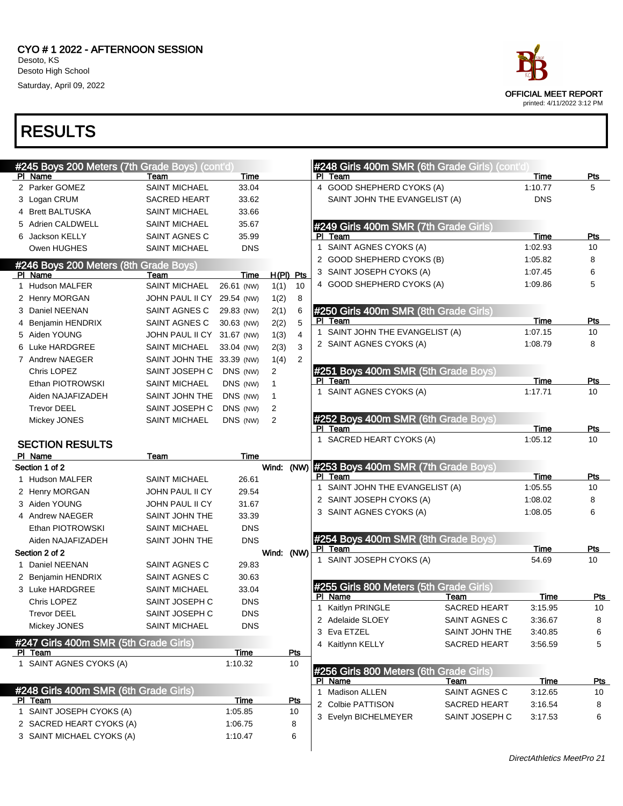

| #245 Boys 200 Meters (7th Grade Boys) (cont'd)        |                            |             |              |                |             |                                         | #248 Girls 400m SMR (6th Grade Girls) (cont'd) |             |            |
|-------------------------------------------------------|----------------------------|-------------|--------------|----------------|-------------|-----------------------------------------|------------------------------------------------|-------------|------------|
| PI Name                                               | Team                       | Time        |              |                | PI Team     |                                         |                                                | Time        | Pts        |
| 2 Parker GOMEZ                                        | <b>SAINT MICHAEL</b>       | 33.04       |              |                |             | 4 GOOD SHEPHERD CYOKS (A)               |                                                | 1:10.77     | 5          |
| 3 Logan CRUM                                          | <b>SACRED HEART</b>        | 33.62       |              |                |             | SAINT JOHN THE EVANGELIST (A)           |                                                | <b>DNS</b>  |            |
| 4 Brett BALTUSKA                                      | <b>SAINT MICHAEL</b>       | 33.66       |              |                |             |                                         |                                                |             |            |
| 5 Adrien CALDWELL                                     | <b>SAINT MICHAEL</b>       | 35.67       |              |                |             | #249 Girls 400m SMR (7th Grade Girls)   |                                                |             |            |
| 6 Jackson KELLY                                       | <b>SAINT AGNES C</b>       | 35.99       |              |                | PI Team     |                                         |                                                | Time        | Pts        |
| Owen HUGHES                                           | <b>SAINT MICHAEL</b>       | <b>DNS</b>  |              |                |             | 1 SAINT AGNES CYOKS (A)                 |                                                | 1:02.93     | 10         |
| #246 Boys 200 Meters (8th Grade Boys)                 |                            |             |              |                |             | 2 GOOD SHEPHERD CYOKS (B)               |                                                | 1:05.82     | 8          |
| PI Name                                               | Team                       | Time        |              | $H(PI)$ Pts    |             | 3 SAINT JOSEPH CYOKS (A)                |                                                | 1:07.45     | 6          |
| 1 Hudson MALFER                                       | <b>SAINT MICHAEL</b>       | 26.61 (NW)  | 1(1)         | 10             |             | 4 GOOD SHEPHERD CYOKS (A)               |                                                | 1:09.86     | 5          |
| 2 Henry MORGAN                                        | JOHN PAUL II CY 29.54 (NW) |             | 1(2)         | 8              |             |                                         |                                                |             |            |
| 3 Daniel NEENAN                                       | SAINT AGNES C              | 29.83 (NW)  | 2(1)         | 6              |             | #250 Girls 400m SMR (8th Grade Girls)   |                                                |             |            |
| 4 Benjamin HENDRIX                                    | SAINT AGNES C              | 30.63 (NW)  | 2(2)         | 5              | PI Team     |                                         |                                                | Time        | Pts        |
| 5 Aiden YOUNG                                         | JOHN PAUL II CY 31.67 (NW) |             | 1(3)         | $\overline{4}$ |             | 1 SAINT JOHN THE EVANGELIST (A)         |                                                | 1:07.15     | 10         |
| 6 Luke HARDGREE                                       | <b>SAINT MICHAEL</b>       | 33.04 (NW)  | 2(3)         | 3              |             | 2 SAINT AGNES CYOKS (A)                 |                                                | 1:08.79     | 8          |
| 7 Andrew NAEGER                                       | SAINT JOHN THE 33.39 (NW)  |             | 1(4)         | 2              |             |                                         |                                                |             |            |
| Chris LOPEZ                                           | SAINT JOSEPH C             | DNS (NW)    | 2            |                |             | #251 Boys 400m SMR (5th Grade Boys)     |                                                |             |            |
| Ethan PIOTROWSKI                                      | <b>SAINT MICHAEL</b>       | DNS (NW)    | 1            |                | PI Team     | 1 SAINT AGNES CYOKS (A)                 |                                                | Time        | Pts        |
| Aiden NAJAFIZADEH                                     | SAINT JOHN THE             | DNS (NW)    | $\mathbf{1}$ |                |             |                                         |                                                | 1:17.71     | 10         |
| <b>Trevor DEEL</b>                                    | SAINT JOSEPH C             | DNS (NW)    | 2            |                |             |                                         |                                                |             |            |
| Mickey JONES                                          | <b>SAINT MICHAEL</b>       | DNS (NW)    | 2            |                | PI Team     | #252 Boys 400m SMR (6th Grade Boys)     |                                                | <b>Time</b> | <b>Pts</b> |
|                                                       |                            |             |              |                |             | 1 SACRED HEART CYOKS (A)                |                                                | 1:05.12     | 10         |
| <b>SECTION RESULTS</b>                                |                            |             |              |                |             |                                         |                                                |             |            |
| PI Name                                               | Team                       | Time        |              |                |             | #253 Boys 400m SMR (7th Grade Boys)     |                                                |             |            |
| Section 1 of 2                                        |                            |             | Wind:        | (NW)           | PI Team     |                                         |                                                | <b>Time</b> | Pts        |
| 1 Hudson MALFER                                       | <b>SAINT MICHAEL</b>       | 26.61       |              |                |             | 1 SAINT JOHN THE EVANGELIST (A)         |                                                | 1:05.55     | 10         |
| 2 Henry MORGAN                                        | JOHN PAUL II CY            | 29.54       |              |                |             | 2 SAINT JOSEPH CYOKS (A)                |                                                | 1:08.02     | 8          |
| 3 Aiden YOUNG                                         | JOHN PAUL II CY            | 31.67       |              |                |             | 3 SAINT AGNES CYOKS (A)                 |                                                | 1:08.05     | 6          |
| 4 Andrew NAEGER                                       | SAINT JOHN THE             | 33.39       |              |                |             |                                         |                                                |             |            |
| Ethan PIOTROWSKI                                      | <b>SAINT MICHAEL</b>       | <b>DNS</b>  |              |                |             | #254 Boys 400m SMR (8th Grade Boys)     |                                                |             |            |
| Aiden NAJAFIZADEH                                     | SAINT JOHN THE             | <b>DNS</b>  |              |                | PI Team     |                                         |                                                | Time        | Pts        |
| Section 2 of 2                                        |                            |             | Wind:        | (NW)           |             | 1 SAINT JOSEPH CYOKS (A)                |                                                | 54.69       | 10         |
| 1 Daniel NEENAN                                       | SAINT AGNES C              | 29.83       |              |                |             |                                         |                                                |             |            |
| 2 Benjamin HENDRIX                                    | SAINT AGNES C              | 30.63       |              |                |             | #255 Girls 800 Meters (5th Grade Girls) |                                                |             |            |
| 3 Luke HARDGREE                                       | <b>SAINT MICHAEL</b>       | 33.04       |              |                | PI Name     |                                         | Team                                           | Time        | <u>Pts</u> |
| Chris LOPEZ                                           | SAINT JOSEPH C             | <b>DNS</b>  |              |                |             | 1 Kaitlyn PRINGLE                       | <b>SACRED HEART</b>                            | 3:15.95     | 10         |
| <b>Trevor DEEL</b>                                    | SAINT JOSEPH C             | <b>DNS</b>  |              |                |             | 2 Adelaide SLOEY                        | SAINT AGNES C                                  | 3:36.67     | 8          |
| Mickey JONES                                          | <b>SAINT MICHAEL</b>       | <b>DNS</b>  |              |                | 3 Eva ETZEL |                                         | SAINT JOHN THE                                 | 3:40.85     | 6          |
| #247 Girls 400m SMR (5th Grade Girls)                 |                            |             |              |                |             | 4 Kaitlynn KELLY                        | <b>SACRED HEART</b>                            | 3:56.59     | 5          |
| PI Team                                               |                            | <b>Time</b> |              | Pts            |             |                                         |                                                |             |            |
| 1 SAINT AGNES CYOKS (A)                               |                            | 1:10.32     |              | 10             |             | #256 Girls 800 Meters (6th Grade Girls) |                                                |             |            |
|                                                       |                            |             |              |                | PI Name     |                                         | Team                                           | Time        | Pts        |
| #248 Girls 400m SMR (6th Grade Girls)                 |                            |             |              |                |             | 1 Madison ALLEN                         | SAINT AGNES C                                  | 3:12.65     | 10         |
| PI Team                                               |                            | <b>Time</b> |              | <u>Pts</u>     |             | 2 Colbie PATTISON                       | <b>SACRED HEART</b>                            | 3:16.54     | 8          |
| 1 SAINT JOSEPH CYOKS (A)                              |                            | 1:05.85     |              | 10             |             | 3 Evelyn BICHELMEYER                    | SAINT JOSEPH C                                 | 3:17.53     | 6          |
| 2 SACRED HEART CYOKS (A)<br>3 SAINT MICHAEL CYOKS (A) |                            | 1:06.75     |              | 8              |             |                                         |                                                |             |            |
|                                                       |                            | 1:10.47     |              | 6              |             |                                         |                                                |             |            |
|                                                       |                            |             |              |                |             |                                         |                                                |             |            |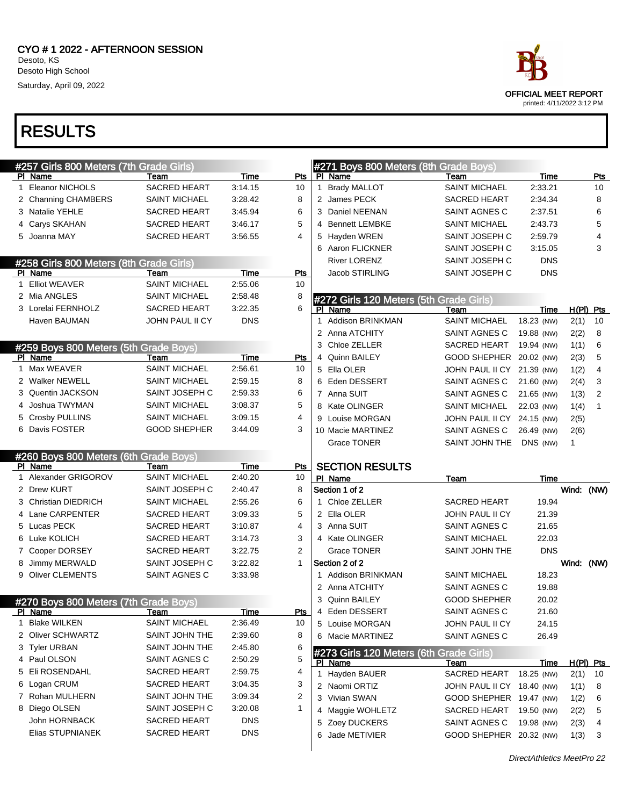

| #257 Girls 800 Meters (7th Grade Girls)          |                              |             |                |   | #271 Boys 800 Meters (8th Grade Boys)   |                            |             |             |                |
|--------------------------------------------------|------------------------------|-------------|----------------|---|-----------------------------------------|----------------------------|-------------|-------------|----------------|
| PI Name                                          | Team                         | Time        | Pts            |   | PI Name                                 | Team                       | Time        |             | Pts            |
| 1 Eleanor NICHOLS                                | SACRED HEART                 | 3:14.15     | 10             | 1 | <b>Brady MALLOT</b>                     | <b>SAINT MICHAEL</b>       | 2:33.21     |             | 10             |
| 2 Channing CHAMBERS                              | <b>SAINT MICHAEL</b>         | 3:28.42     | 8              |   | 2 James PECK                            | <b>SACRED HEART</b>        | 2:34.34     |             | 8              |
| 3 Natalie YEHLE                                  | <b>SACRED HEART</b>          | 3:45.94     | 6              |   | 3 Daniel NEENAN                         | SAINT AGNES C              | 2:37.51     |             | 6              |
| 4 Carys SKAHAN                                   | <b>SACRED HEART</b>          | 3:46.17     | 5              |   | <b>Bennett LEMBKE</b>                   | <b>SAINT MICHAEL</b>       | 2:43.73     |             | 5              |
| 5 Joanna MAY                                     | <b>SACRED HEART</b>          | 3:56.55     | 4              |   | 5 Hayden WREN                           | SAINT JOSEPH C             | 2:59.79     |             | 4              |
|                                                  |                              |             |                |   | 6 Aaron FLICKNER                        | SAINT JOSEPH C             | 3:15.05     |             | 3              |
| #258 Girls 800 Meters (8th Grade Girls)          |                              |             |                |   | <b>River LORENZ</b>                     | SAINT JOSEPH C             | <b>DNS</b>  |             |                |
| PI Name                                          | Team                         | Time        | Pts            |   | Jacob STIRLING                          | SAINT JOSEPH C             | <b>DNS</b>  |             |                |
| 1 Elliot WEAVER                                  | <b>SAINT MICHAEL</b>         | 2:55.06     | 10             |   |                                         |                            |             |             |                |
| 2 Mia ANGLES                                     | <b>SAINT MICHAEL</b>         | 2:58.48     | 8              |   | #272 Girls 120 Meters (5th Grade Girls) |                            |             |             |                |
| 3 Lorelai FERNHOLZ                               | <b>SACRED HEART</b>          | 3:22.35     | 6              |   | PI Name                                 | Team                       | Time        | $H(PI)$ Pts |                |
| Haven BAUMAN                                     | JOHN PAUL II CY              | <b>DNS</b>  |                |   | Addison BRINKMAN                        | <b>SAINT MICHAEL</b>       | 18.23 (NW)  | 2(1)        | 10             |
|                                                  |                              |             |                |   | 2 Anna ATCHITY                          | SAINT AGNES C              | 19.88 (NW)  | 2(2)        | 8              |
| #259 Boys 800 Meters (5th Grade Boys)            |                              |             |                |   | 3 Chloe ZELLER                          | <b>SACRED HEART</b>        | 19.94 (NW)  | 1(1)        | 6              |
| PI Name                                          | Team                         | Time        | Pts            |   | 4 Quinn BAILEY                          | GOOD SHEPHER 20.02 (NW)    |             | 2(3)        | 5              |
| 1 Max WEAVER                                     | <b>SAINT MICHAEL</b>         | 2:56.61     | 10             |   | 5 Ella OLER                             | JOHN PAUL II CY 21.39 (NW) |             | 1(2)        | $\overline{4}$ |
| 2 Walker NEWELL                                  | <b>SAINT MICHAEL</b>         | 2:59.15     | 8              |   | 6 Eden DESSERT                          | SAINT AGNES C              | 21.60 (NW)  | 2(4)        | 3              |
| 3 Quentin JACKSON                                | SAINT JOSEPH C               | 2:59.33     | 6              |   | 7 Anna SUIT                             | SAINT AGNES C              | 21.65 (NW)  | 1(3)        | 2              |
| 4 Joshua TWYMAN                                  | <b>SAINT MICHAEL</b>         | 3:08.37     | 5              |   | 8 Kate OLINGER                          | <b>SAINT MICHAEL</b>       | 22.03 (NW)  | 1(4)        | 1              |
| 5 Crosby PULLINS                                 | <b>SAINT MICHAEL</b>         | 3:09.15     | 4              |   | 9 Louise MORGAN                         | JOHN PAUL II CY 24.15 (NW) |             | 2(5)        |                |
| 6 Davis FOSTER                                   | <b>GOOD SHEPHER</b>          | 3:44.09     | 3              |   | 10 Macie MARTINEZ                       | SAINT AGNES C              | 26.49 (NW)  | 2(6)        |                |
|                                                  |                              |             |                |   | <b>Grace TONER</b>                      | SAINT JOHN THE             | DNS (NW)    | 1           |                |
| #260 Boys 800 Meters (6th Grade Boys)            |                              |             |                |   |                                         |                            |             |             |                |
| PI Name                                          | Team                         | Time        | Pts            |   | <b>SECTION RESULTS</b>                  |                            |             |             |                |
| 1 Alexander GRIGOROV                             | <b>SAINT MICHAEL</b>         | 2:40.20     | 10             |   | PI Name                                 | Team                       | Time        |             |                |
| 2 Drew KURT                                      | SAINT JOSEPH C               | 2:40.47     | 8              |   | Section 1 of 2                          |                            |             | Wind: (NW)  |                |
| 3 Christian DIEDRICH                             | <b>SAINT MICHAEL</b>         | 2:55.26     | 6              |   | 1 Chloe ZELLER                          | <b>SACRED HEART</b>        | 19.94       |             |                |
| 4 Lane CARPENTER                                 | <b>SACRED HEART</b>          | 3:09.33     | 5              |   | 2 Ella OLER                             | JOHN PAUL II CY            | 21.39       |             |                |
| 5 Lucas PECK                                     | <b>SACRED HEART</b>          | 3:10.87     | 4              |   | 3 Anna SUIT                             | SAINT AGNES C              | 21.65       |             |                |
| 6 Luke KOLICH                                    | <b>SACRED HEART</b>          | 3:14.73     | 3              |   | 4 Kate OLINGER                          | <b>SAINT MICHAEL</b>       | 22.03       |             |                |
| 7 Cooper DORSEY                                  | <b>SACRED HEART</b>          | 3:22.75     | $\overline{2}$ |   | <b>Grace TONER</b>                      | SAINT JOHN THE             | <b>DNS</b>  |             |                |
| 8 Jimmy MERWALD                                  | SAINT JOSEPH C               | 3:22.82     | 1              |   | Section 2 of 2                          |                            |             | Wind: (NW)  |                |
| 9 Oliver CLEMENTS                                | SAINT AGNES C                | 3:33.98     |                |   | 1 Addison BRINKMAN                      | <b>SAINT MICHAEL</b>       | 18.23       |             |                |
|                                                  |                              |             |                |   |                                         |                            |             |             |                |
|                                                  |                              |             |                |   | 2 Anna ATCHITY                          | SAINT AGNES C              | 19.88       |             |                |
|                                                  |                              |             |                |   | 3 Quinn BAILEY                          | <b>GOOD SHEPHER</b>        | 20.02       |             |                |
| #270 Boys 800 Meters (7th Grade Boys)<br>PI Name | Team                         | <u>Time</u> | <u>Pts</u>     | 4 | Eden DESSERT                            | SAINT AGNES C              | 21.60       |             |                |
| 1 Blake WILKEN                                   | <b>SAINT MICHAEL</b>         | 2:36.49     | 10             |   | 5 Louise MORGAN                         | <b>JOHN PAUL II CY</b>     | 24.15       |             |                |
| 2 Oliver SCHWARTZ                                | SAINT JOHN THE               | 2:39.60     | 8              |   | 6 Macie MARTINEZ                        | SAINT AGNES C              | 26.49       |             |                |
| 3 Tyler URBAN                                    | SAINT JOHN THE               | 2:45.80     | 6              |   |                                         |                            |             |             |                |
| 4 Paul OLSON                                     | SAINT AGNES C                | 2:50.29     | 5              |   | #273 Girls 120 Meters (6th Grade Girls) |                            |             |             |                |
| 5 Eli ROSENDAHL                                  | SACRED HEART                 | 2:59.75     | 4              |   | PI Name                                 | Team                       | <u>Time</u> | $H(PI)$ Pts |                |
| 6 Logan CRUM                                     | SACRED HEART                 | 3:04.35     | 3              |   | 1 Hayden BAUER                          | SACRED HEART               | 18.25 (NW)  | 2(1)        | 10             |
| 7 Rohan MULHERN                                  | SAINT JOHN THE               | 3:09.34     | 2              |   | 2 Naomi ORTIZ                           | JOHN PAUL II CY 18.40 (NW) |             | 1(1)        | 8              |
| 8 Diego OLSEN                                    | SAINT JOSEPH C               | 3:20.08     | 1              |   | 3 Vivian SWAN                           | GOOD SHEPHER 19.47 (NW)    |             | 1(2)        | 6              |
| John HORNBACK                                    |                              | <b>DNS</b>  |                |   | 4 Maggie WOHLETZ                        | SACRED HEART 19.50 (NW)    |             | 2(2)        | 5              |
| Elias STUPNIANEK                                 | SACRED HEART<br>SACRED HEART | <b>DNS</b>  |                |   | 5 Zoey DUCKERS                          | SAINT AGNES C              | 19.98 (NW)  | 2(3)        | 4              |
|                                                  |                              |             |                |   | 6 Jade METIVIER                         | GOOD SHEPHER 20.32 (NW)    |             | 1(3)        | 3              |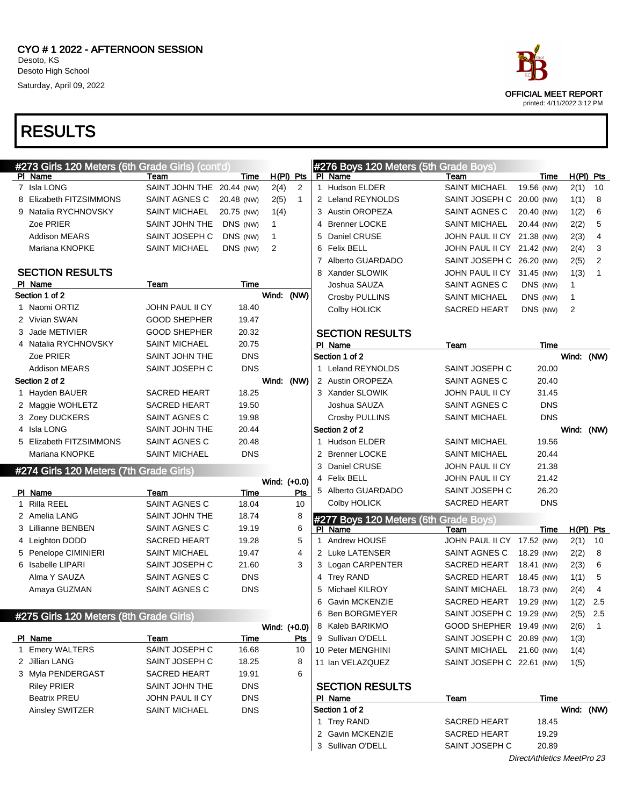| #273 Girls 120 Meters (6th Grade Girls) (cont'd) |                           |            |              |             | #276 Boys 120 Meters (5th Grade Boys) |                            |                            |            |                          |
|--------------------------------------------------|---------------------------|------------|--------------|-------------|---------------------------------------|----------------------------|----------------------------|------------|--------------------------|
| PI Name                                          | Team                      | Time       |              | $H(PI)$ Pts | PI Name                               | Team                       | Time                       |            | $H(PI)$ Pts              |
| 7 Isla LONG                                      | SAINT JOHN THE 20.44 (NW) |            | 2(4)         | 2           | 1 Hudson ELDER                        | <b>SAINT MICHAEL</b>       | 19.56 (NW)                 | 2(1)       | 10                       |
| 8 Elizabeth FITZSIMMONS                          | SAINT AGNES C             | 20.48 (NW) | 2(5)         | 1           | 2 Leland REYNOLDS                     | SAINT JOSEPH C             | 20.00 (NW)                 | 1(1)       | 8                        |
| 9 Natalia RYCHNOVSKY                             | <b>SAINT MICHAEL</b>      | 20.75 (NW) | 1(4)         |             | 3 Austin OROPEZA                      | SAINT AGNES C              | 20.40 (NW)                 | 1(2)       | 6                        |
| Zoe PRIER                                        | SAINT JOHN THE            | DNS (NW)   | $\mathbf{1}$ |             | 4 Brenner LOCKE                       | <b>SAINT MICHAEL</b>       | 20.44 (NW)                 | 2(2)       | 5                        |
| <b>Addison MEARS</b>                             | SAINT JOSEPH C            | DNS (NW)   | 1            |             | 5 Daniel CRUSE                        | JOHN PAUL II CY 21.38 (NW) |                            | 2(3)       | 4                        |
| Mariana KNOPKE                                   | <b>SAINT MICHAEL</b>      | DNS (NW)   | 2            |             | 6 Felix BELL                          | JOHN PAUL II CY 21.42 (NW) |                            | 2(4)       | 3                        |
|                                                  |                           |            |              |             | 7 Alberto GUARDADO                    | SAINT JOSEPH C 26.20 (NW)  |                            | 2(5)       | $\overline{2}$           |
| <b>SECTION RESULTS</b>                           |                           |            |              |             | 8 Xander SLOWIK                       | JOHN PAUL II CY 31.45 (NW) |                            | 1(3)       | 1                        |
| PI Name                                          | Team                      | Time       |              |             | Joshua SAUZA                          | SAINT AGNES C              | DNS (NW)                   | 1          |                          |
| Section 1 of 2                                   |                           |            | Wind:        | (NW)        | Crosby PULLINS                        | <b>SAINT MICHAEL</b>       | DNS (NW)                   | 1          |                          |
| 1 Naomi ORTIZ                                    | <b>JOHN PAUL II CY</b>    | 18.40      |              |             | <b>Colby HOLICK</b>                   | <b>SACRED HEART</b>        | DNS (NW)                   | 2          |                          |
| 2 Vivian SWAN                                    | <b>GOOD SHEPHER</b>       | 19.47      |              |             |                                       |                            |                            |            |                          |
| 3 Jade METIVIER                                  | <b>GOOD SHEPHER</b>       | 20.32      |              |             | <b>SECTION RESULTS</b>                |                            |                            |            |                          |
| 4 Natalia RYCHNOVSKY                             | <b>SAINT MICHAEL</b>      | 20.75      |              |             | PI Name                               | Team                       | Time                       |            |                          |
| Zoe PRIER                                        | SAINT JOHN THE            | <b>DNS</b> |              |             | Section 1 of 2                        |                            |                            | Wind:      | (NW)                     |
| <b>Addison MEARS</b>                             | SAINT JOSEPH C            | <b>DNS</b> |              |             | 1 Leland REYNOLDS                     | SAINT JOSEPH C             | 20.00                      |            |                          |
| Section 2 of 2                                   |                           |            | Wind:        | (NW)        | 2 Austin OROPEZA                      | SAINT AGNES C              | 20.40                      |            |                          |
| 1 Hayden BAUER                                   | SACRED HEART              | 18.25      |              |             | 3 Xander SLOWIK                       | JOHN PAUL II CY            | 31.45                      |            |                          |
| 2 Maggie WOHLETZ                                 | SACRED HEART              | 19.50      |              |             | Joshua SAUZA                          | SAINT AGNES C              | <b>DNS</b>                 |            |                          |
| 3 Zoey DUCKERS                                   | SAINT AGNES C             | 19.98      |              |             | Crosby PULLINS                        | <b>SAINT MICHAEL</b>       | <b>DNS</b>                 |            |                          |
| 4 Isla LONG                                      | SAINT JOHN THE            | 20.44      |              |             | Section 2 of 2                        |                            |                            | Wind:      | (NW)                     |
| 5 Elizabeth FITZSIMMONS                          | <b>SAINT AGNES C</b>      | 20.48      |              |             | 1 Hudson ELDER                        | <b>SAINT MICHAEL</b>       | 19.56                      |            |                          |
| Mariana KNOPKE                                   | <b>SAINT MICHAEL</b>      | <b>DNS</b> |              |             | 2 Brenner LOCKE                       | <b>SAINT MICHAEL</b>       | 20.44                      |            |                          |
| #274 Girls 120 Meters (7th Grade Girls)          |                           |            |              |             | 3 Daniel CRUSE                        | JOHN PAUL II CY            | 21.38                      |            |                          |
|                                                  |                           |            | Wind: (+0.0) |             | 4 Felix BELL                          | JOHN PAUL II CY            | 21.42                      |            |                          |
| PI Name                                          | Team                      | Time       |              | Pts         | 5 Alberto GUARDADO                    | SAINT JOSEPH C             | 26.20                      |            |                          |
| 1 Rilla REEL                                     | SAINT AGNES C             | 18.04      |              | 10          | Colby HOLICK                          | <b>SACRED HEART</b>        | <b>DNS</b>                 |            |                          |
| 2 Amelia LANG                                    | SAINT JOHN THE            | 18.74      |              | 8           | #277 Boys 120 Meters (6th Grade Boys) |                            |                            |            |                          |
| 3 Lillianne BENBEN                               | SAINT AGNES C             | 19.19      |              | 6           | PI Name                               | Team                       | Time                       |            | $H(PI)$ Pts              |
| 4 Leighton DODD                                  | SACRED HEART              | 19.28      |              | 5           | 1 Andrew HOUSE                        | JOHN PAUL II CY 17.52 (NW) |                            | 2(1)       | 10                       |
| 5 Penelope CIMINIERI                             | <b>SAINT MICHAEL</b>      | 19.47      |              | 4           | 2 Luke LATENSER                       | SAINT AGNES C              | 18.29 (NW)                 | 2(2)       | 8                        |
| 6 Isabelle LIPARI                                | SAINT JOSEPH C            | 21.60      |              | 3           | 3 Logan CARPENTER                     | <b>SACRED HEART</b>        | 18.41 (NW)                 | 2(3)       | 6                        |
| Alma Y SAUZA                                     | SAINT AGNES C             | <b>DNS</b> |              |             | 4 Trey RAND                           | <b>SACRED HEART</b>        | 18.45 (NW)                 | 1(1)       | 5                        |
| Amaya GUZMAN                                     | SAINT AGNES C             | <b>DNS</b> |              |             | 5 Michael KILROY                      | <b>SAINT MICHAEL</b>       | 18.73 (NW)                 | 2(4)       | 4                        |
|                                                  |                           |            |              |             | 6 Gavin MCKENZIE                      | <b>SACRED HEART</b>        | 19.29 (NW)                 | 1(2)       | 2.5                      |
| #275 Girls 120 Meters (8th Grade Girls)          |                           |            |              |             | 6 Ben BORGMEYER                       | SAINT JOSEPH C 19.29 (NW)  |                            | 2(5)       | $2.5\,$                  |
|                                                  |                           |            | Wind: (+0.0) |             | 8 Kaleb BARIKMO                       | GOOD SHEPHER 19.49 (NW)    |                            | 2(6)       | $\overline{\phantom{1}}$ |
| PI Name                                          | Team                      | Time       |              | <b>Pts</b>  | 9 Sullivan O'DELL                     | SAINT JOSEPH C 20.89 (NW)  |                            | 1(3)       |                          |
| 1 Emery WALTERS                                  | SAINT JOSEPH C            | 16.68      |              | 10          | 10 Peter MENGHINI                     | SAINT MICHAEL 21.60 (NW)   |                            | 1(4)       |                          |
| 2 Jillian LANG                                   | SAINT JOSEPH C            | 18.25      |              | 8           | 11 Ian VELAZQUEZ                      | SAINT JOSEPH C 22.61 (NW)  |                            | 1(5)       |                          |
| 3 Myla PENDERGAST                                | SACRED HEART              | 19.91      |              | 6           |                                       |                            |                            |            |                          |
| <b>Riley PRIER</b>                               | SAINT JOHN THE            | <b>DNS</b> |              |             | <b>SECTION RESULTS</b>                |                            |                            |            |                          |
| <b>Beatrix PREU</b>                              | JOHN PAUL II CY           | <b>DNS</b> |              |             | PI Name                               | Team                       | Time                       |            |                          |
| Ainsley SWITZER                                  | SAINT MICHAEL             | <b>DNS</b> |              |             | Section 1 of 2                        |                            |                            | Wind: (NW) |                          |
|                                                  |                           |            |              |             | 1 Trey RAND                           | SACRED HEART               | 18.45                      |            |                          |
|                                                  |                           |            |              |             | 2 Gavin MCKENZIE                      | SACRED HEART               | 19.29                      |            |                          |
|                                                  |                           |            |              |             | 3 Sullivan O'DELL                     | SAINT JOSEPH C             | 20.89                      |            |                          |
|                                                  |                           |            |              |             |                                       |                            | DirectAthletics MeetPro 23 |            |                          |

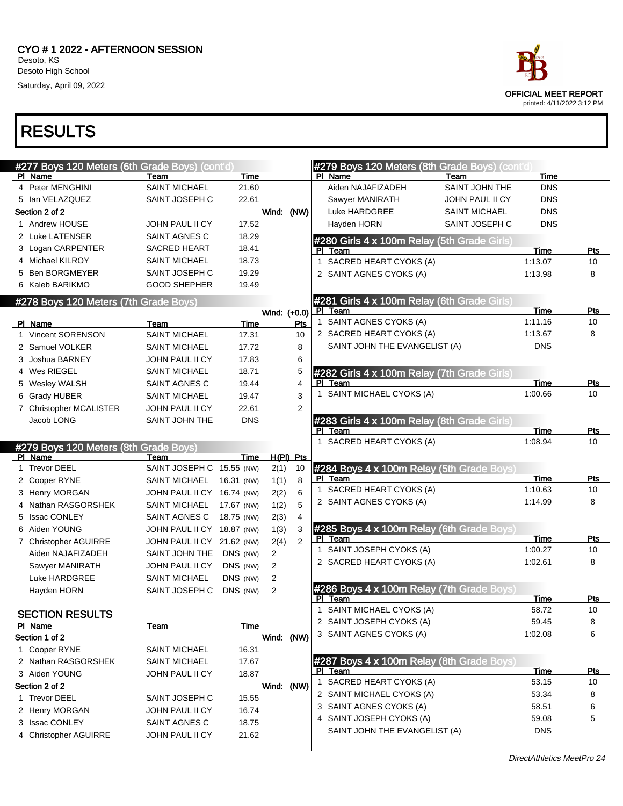

| #277 Boys 120 Meters (6th Grade Boys) (cont'd) |                            |             |                |                |              | #279 Boys 120 Meters (8th Grade Boys) (cont'd)       |                       |                 |            |
|------------------------------------------------|----------------------------|-------------|----------------|----------------|--------------|------------------------------------------------------|-----------------------|-----------------|------------|
| PI Name                                        | Team                       | Time        |                |                |              | PI Name                                              | Team                  | Time            |            |
| 4 Peter MENGHINI                               | <b>SAINT MICHAEL</b>       | 21.60       |                |                |              | Aiden NAJAFIZADEH                                    | <b>SAINT JOHN THE</b> | <b>DNS</b>      |            |
| 5 Ian VELAZQUEZ                                | SAINT JOSEPH C             | 22.61       |                |                |              | Sawyer MANIRATH                                      | JOHN PAUL II CY       | <b>DNS</b>      |            |
| Section 2 of 2                                 |                            |             | Wind: (NW)     |                |              | Luke HARDGREE                                        | <b>SAINT MICHAEL</b>  | <b>DNS</b>      |            |
| 1 Andrew HOUSE                                 | JOHN PAUL II CY            | 17.52       |                |                |              | Hayden HORN                                          | SAINT JOSEPH C        | <b>DNS</b>      |            |
| 2 Luke LATENSER                                | SAINT AGNES C              | 18.29       |                |                |              | #280 Girls 4 x 100m Relay (5th Grade Girls)          |                       |                 |            |
| 3 Logan CARPENTER                              | <b>SACRED HEART</b>        | 18.41       |                |                |              | PI Team                                              |                       | Time            | Pts        |
| 4 Michael KILROY                               | <b>SAINT MICHAEL</b>       | 18.73       |                |                |              | 1 SACRED HEART CYOKS (A)                             |                       | 1:13.07         | 10         |
| 5 Ben BORGMEYER                                | SAINT JOSEPH C             | 19.29       |                |                |              | 2 SAINT AGNES CYOKS (A)                              |                       | 1:13.98         | 8          |
| 6 Kaleb BARIKMO                                | <b>GOOD SHEPHER</b>        | 19.49       |                |                |              |                                                      |                       |                 |            |
| #278 Boys 120 Meters (7th Grade Boys)          |                            |             |                |                |              | #281 Girls 4 x 100m Relay (6th Grade Girls)          |                       |                 |            |
|                                                |                            |             | Wind: (+0.0)   |                |              | PI Team<br>1 SAINT AGNES CYOKS (A)                   |                       | Time<br>1:11.16 | Pts<br>10  |
| PI Name                                        | Team                       | <b>Time</b> |                | Pts            |              |                                                      |                       |                 |            |
| 1 Vincent SORENSON                             | <b>SAINT MICHAEL</b>       | 17.31       |                | 10             |              | 2 SACRED HEART CYOKS (A)                             |                       | 1:13.67         | 8          |
| 2 Samuel VOLKER                                | <b>SAINT MICHAEL</b>       | 17.72       |                | 8              |              | SAINT JOHN THE EVANGELIST (A)                        |                       | <b>DNS</b>      |            |
| 3 Joshua BARNEY                                | JOHN PAUL II CY            | 17.83       |                | 6              |              |                                                      |                       |                 |            |
| 4 Wes RIEGEL                                   | <b>SAINT MICHAEL</b>       | 18.71       |                | 5              |              | #282 Girls 4 x 100m Relay (7th Grade Girls)          |                       |                 |            |
| 5 Wesley WALSH                                 | SAINT AGNES C              | 19.44       |                | $\overline{4}$ | PI.          | Team                                                 |                       | Time            | <b>Pts</b> |
| 6 Grady HUBER                                  | <b>SAINT MICHAEL</b>       | 19.47       |                | 3              | $\mathbf{1}$ | SAINT MICHAEL CYOKS (A)                              |                       | 1:00.66         | 10         |
| 7 Christopher MCALISTER                        | JOHN PAUL II CY            | 22.61       |                | $\overline{2}$ |              |                                                      |                       |                 |            |
| Jacob LONG                                     | SAINT JOHN THE             | <b>DNS</b>  |                |                |              | #283 Girls 4 x 100m Relay (8th Grade Girls)          |                       |                 |            |
|                                                |                            |             |                |                |              | PI Team<br>1 SACRED HEART CYOKS (A)                  |                       | Time<br>1:08.94 | Pts<br>10  |
| #279 Boys 120 Meters (8th Grade Boys)          |                            |             |                |                |              |                                                      |                       |                 |            |
| PI Name                                        | Team                       | Time        |                | $H(PI)$ Pts    |              |                                                      |                       |                 |            |
| 1 Trevor DEEL                                  | SAINT JOSEPH C 15.55 (NW)  |             | 2(1)           | 10             |              | #284 Boys 4 x 100m Relay (5th Grade Boys)<br>PI Team |                       | Time            | Pts        |
| 2 Cooper RYNE                                  | <b>SAINT MICHAEL</b>       | 16.31 (NW)  | 1(1)           | 8              |              | 1 SACRED HEART CYOKS (A)                             |                       | 1:10.63         | 10         |
| 3 Henry MORGAN                                 | JOHN PAUL II CY 16.74 (NW) |             | 2(2)           | 6              |              | 2 SAINT AGNES CYOKS (A)                              |                       | 1:14.99         | 8          |
| 4 Nathan RASGORSHEK                            | <b>SAINT MICHAEL</b>       | 17.67 (NW)  | 1(2)           | 5              |              |                                                      |                       |                 |            |
| 5 Issac CONLEY                                 | SAINT AGNES C              | 18.75 (NW)  | 2(3)           | $\overline{4}$ |              |                                                      |                       |                 |            |
| 6 Aiden YOUNG                                  | JOHN PAUL II CY 18.87 (NW) |             | 1(3)           | 3              |              | #285 Boys 4 x 100m Relay (6th Grade Boys)<br>PI Team |                       | Time            | Pts        |
| 7 Christopher AGUIRRE                          | JOHN PAUL II CY 21.62 (NW) |             | 2(4)           | $\mathbf{2}$   |              | 1 SAINT JOSEPH CYOKS (A)                             |                       | 1:00.27         | 10         |
| Aiden NAJAFIZADEH                              | SAINT JOHN THE             | DNS (NW)    | $\overline{2}$ |                |              | 2 SACRED HEART CYOKS (A)                             |                       | 1:02.61         | 8          |
| Sawyer MANIRATH                                | JOHN PAUL II CY            | DNS (NW)    | $\overline{2}$ |                |              |                                                      |                       |                 |            |
| Luke HARDGREE                                  | <b>SAINT MICHAEL</b>       | DNS (NW)    | $\overline{2}$ |                |              |                                                      |                       |                 |            |
| Hayden HORN                                    | SAINT JOSEPH C             | DNS (NW)    | 2              |                |              | #286 Boys 4 x 100m Relay (7th Grade Boys)<br>PI Team |                       | Time            | Pts        |
|                                                |                            |             |                |                |              | 1 SAINT MICHAEL CYOKS (A)                            |                       | 58.72           | 10         |
| <b>SECTION RESULTS</b>                         |                            |             |                |                |              | 2 SAINT JOSEPH CYOKS (A)                             |                       | 59.45           | 8          |
| PI Name<br>Section 1 of 2                      | Team                       | Time        | Wind: (NW)     |                |              | 3 SAINT AGNES CYOKS (A)                              |                       | 1:02.08         | 6          |
| 1 Cooper RYNE                                  | <b>SAINT MICHAEL</b>       | 16.31       |                |                |              |                                                      |                       |                 |            |
| 2 Nathan RASGORSHEK                            | <b>SAINT MICHAEL</b>       | 17.67       |                |                |              | #287 Boys 4 x 100m Relay (8th Grade Boys)            |                       |                 |            |
| 3 Aiden YOUNG                                  | JOHN PAUL II CY            |             |                |                | PL           | Team                                                 |                       | <u>Time</u>     | <u>Pts</u> |
|                                                |                            | 18.87       |                |                |              | 1 SACRED HEART CYOKS (A)                             |                       | 53.15           | 10         |
| Section 2 of 2<br>1 Trevor DEEL                | SAINT JOSEPH C             |             | Wind: (NW)     |                |              | 2 SAINT MICHAEL CYOKS (A)                            |                       | 53.34           | 8          |
|                                                | JOHN PAUL II CY            | 15.55       |                |                |              | 3 SAINT AGNES CYOKS (A)                              |                       | 58.51           | 6          |
| 2 Henry MORGAN<br>3 Issac CONLEY               | SAINT AGNES C              | 16.74       |                |                |              | 4 SAINT JOSEPH CYOKS (A)                             |                       | 59.08           | 5          |
|                                                | JOHN PAUL II CY            | 18.75       |                |                |              | SAINT JOHN THE EVANGELIST (A)                        |                       | <b>DNS</b>      |            |
| 4 Christopher AGUIRRE                          |                            | 21.62       |                |                |              |                                                      |                       |                 |            |
|                                                |                            |             |                |                |              |                                                      |                       |                 |            |